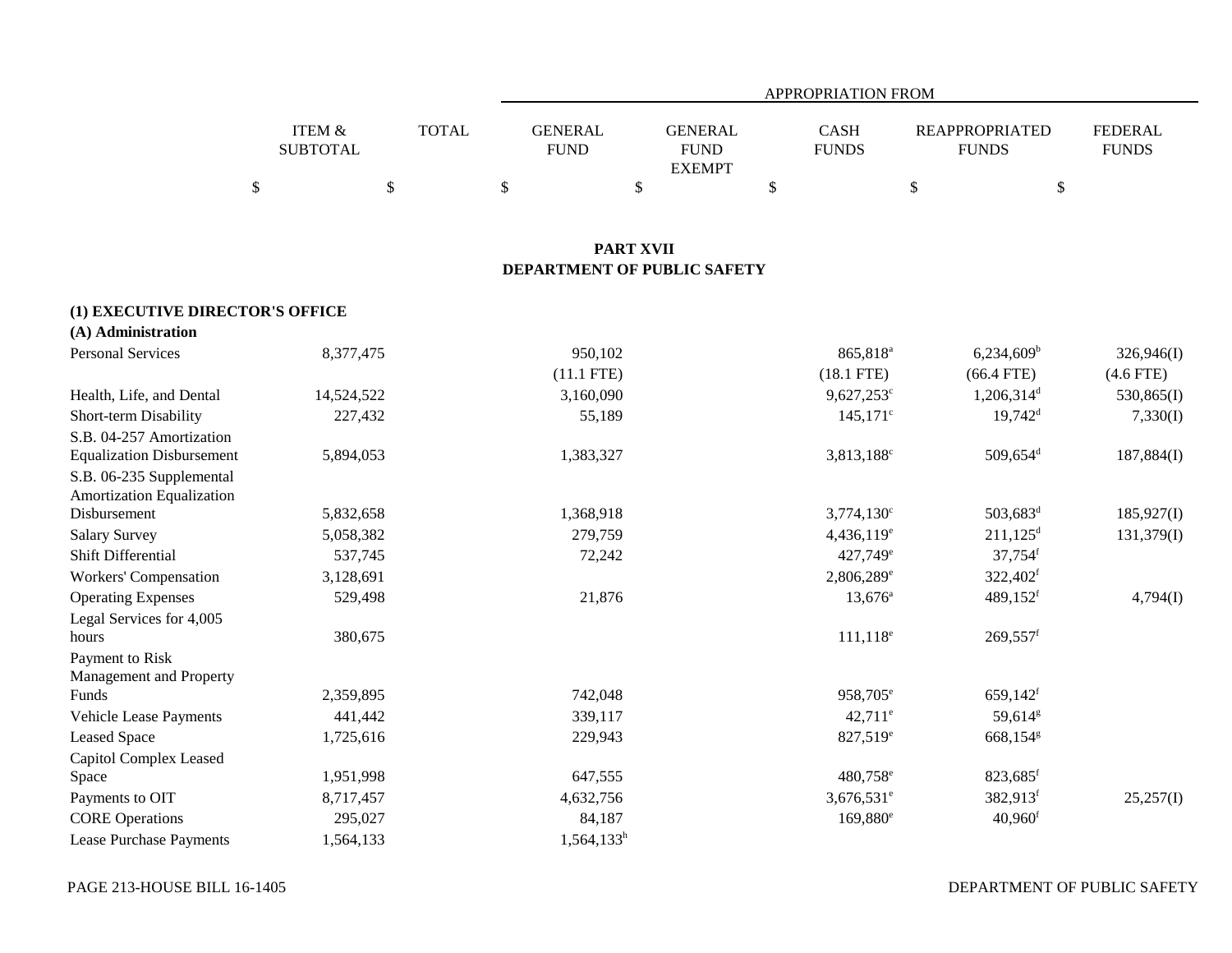|                   |       |                | <b>APPROPRIATION FROM</b> |              |                       |                |  |  |  |  |  |
|-------------------|-------|----------------|---------------------------|--------------|-----------------------|----------------|--|--|--|--|--|
|                   |       |                |                           |              |                       |                |  |  |  |  |  |
| <b>ITEM &amp;</b> | TOTAL | <b>GENERAL</b> | GENERAL                   | <b>CASH</b>  | <b>REAPPROPRIATED</b> | <b>FEDERAL</b> |  |  |  |  |  |
| <b>SUBTOTAL</b>   |       | <b>FUND</b>    | <b>FUND</b>               | <b>FUNDS</b> | <b>FUNDS</b>          | <b>FUNDS</b>   |  |  |  |  |  |
|                   |       |                | <b>EXEMPT</b>             |              |                       |                |  |  |  |  |  |
|                   |       |                |                           |              |                       |                |  |  |  |  |  |

# **PART XVII DEPARTMENT OF PUBLIC SAFETY**

### **(1) EXECUTIVE DIRECTOR'S OFFICE**

| (A) Administration                                    |            |               |                        |                          |             |
|-------------------------------------------------------|------------|---------------|------------------------|--------------------------|-------------|
| <b>Personal Services</b>                              | 8,377,475  | 950,102       | 865,818 <sup>a</sup>   | $6,234,609^b$            | 326,946(I)  |
|                                                       |            | $(11.1$ FTE)  | $(18.1$ FTE)           | $(66.4$ FTE)             | $(4.6$ FTE) |
| Health, Life, and Dental                              | 14,524,522 | 3,160,090     | $9,627,253$ °          | $1,206,314$ <sup>d</sup> | 530,865(I)  |
| Short-term Disability                                 | 227,432    | 55,189        | $145,171^{\circ}$      | $19,742^{\rm d}$         | 7,330(I)    |
| S.B. 04-257 Amortization                              |            |               |                        |                          |             |
| <b>Equalization Disbursement</b>                      | 5,894,053  | 1,383,327     | 3,813,188 <sup>c</sup> | $509,654$ <sup>d</sup>   | 187,884(I)  |
| S.B. 06-235 Supplemental<br>Amortization Equalization |            |               |                        |                          |             |
| Disbursement                                          | 5,832,658  | 1,368,918     | $3,774,130^{\circ}$    | $503,683$ <sup>d</sup>   | 185,927(I)  |
| <b>Salary Survey</b>                                  | 5,058,382  | 279,759       | $4,436,119^e$          | $211,125$ <sup>d</sup>   | 131,379(I)  |
| Shift Differential                                    | 537,745    | 72,242        | $427,749^e$            | $37,754$ <sup>f</sup>    |             |
| Workers' Compensation                                 | 3,128,691  |               | $2,806,289^e$          | 322,402f                 |             |
| <b>Operating Expenses</b>                             | 529,498    | 21,876        | $13,676^{\circ}$       | $489,152$ <sup>f</sup>   | 4,794(I)    |
| Legal Services for 4,005                              |            |               |                        |                          |             |
| hours                                                 | 380,675    |               | $111,118^e$            | $269,557$ <sup>f</sup>   |             |
| Payment to Risk                                       |            |               |                        |                          |             |
| Management and Property                               |            |               |                        |                          |             |
| Funds                                                 | 2,359,895  | 742,048       | 958,705 <sup>e</sup>   | $659,142$ <sup>f</sup>   |             |
| Vehicle Lease Payments                                | 441,442    | 339,117       | $42,711$ <sup>e</sup>  | 59,614 <sup>g</sup>      |             |
| <b>Leased Space</b>                                   | 1,725,616  | 229,943       | 827,519 <sup>e</sup>   | 668,154 <sup>g</sup>     |             |
| Capitol Complex Leased                                |            |               |                        |                          |             |
| Space                                                 | 1,951,998  | 647,555       | 480,758 <sup>e</sup>   | 823,685 <sup>f</sup>     |             |
| Payments to OIT                                       | 8,717,457  | 4,632,756     | $3,676,531^e$          | 382,913 <sup>f</sup>     | 25,257(I)   |
| <b>CORE Operations</b>                                | 295,027    | 84,187        | $169,880^{\circ}$      | $40,960$ <sup>f</sup>    |             |
| <b>Lease Purchase Payments</b>                        | 1,564,133  | $1,564,133^h$ |                        |                          |             |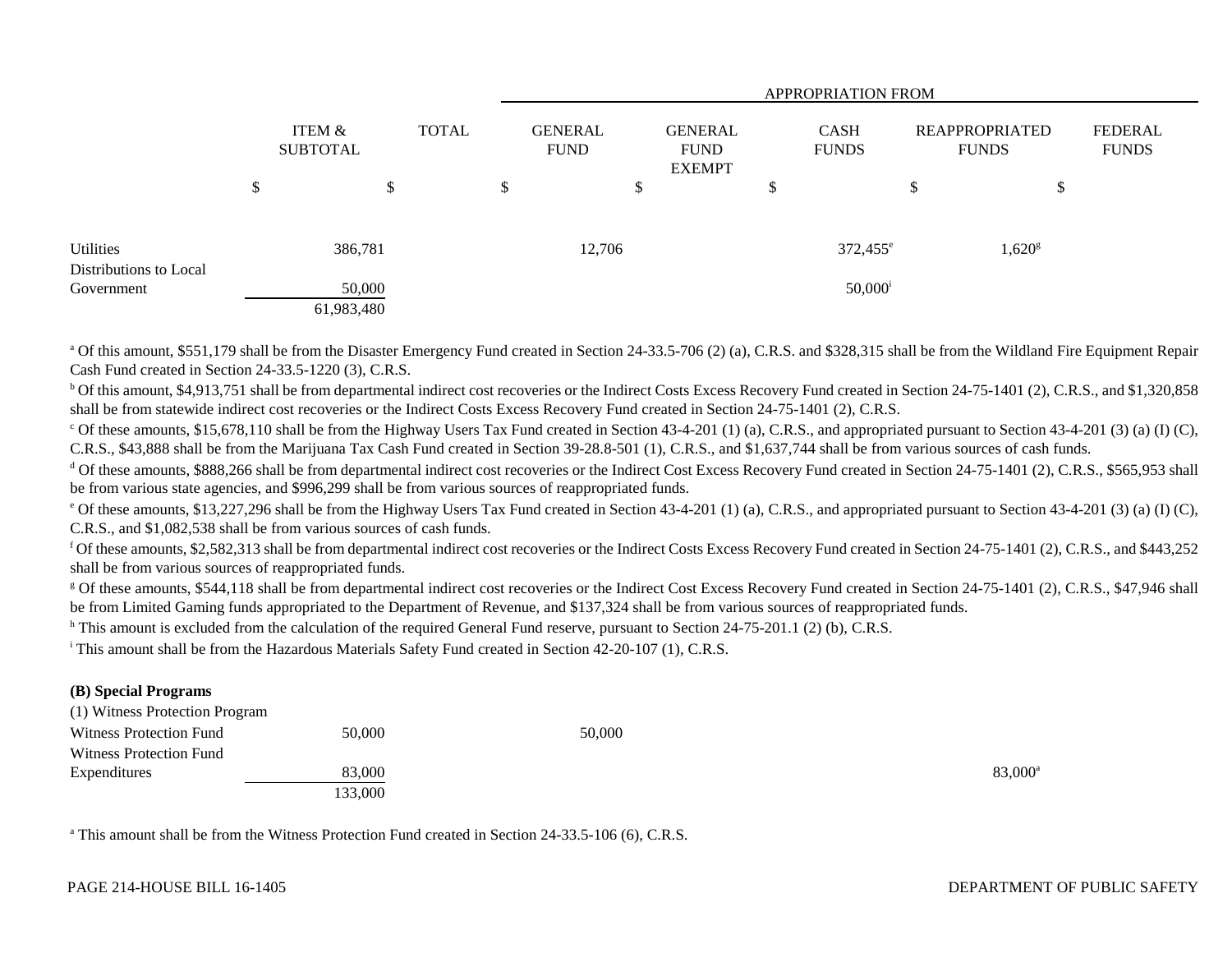|                        |                           |              |        | <b>APPROPRIATION FROM</b>     |                                                |                   |                             |                                       |               |                         |  |
|------------------------|---------------------------|--------------|--------|-------------------------------|------------------------------------------------|-------------------|-----------------------------|---------------------------------------|---------------|-------------------------|--|
|                        | ITEM &<br><b>SUBTOTAL</b> | <b>TOTAL</b> |        | <b>GENERAL</b><br><b>FUND</b> | <b>GENERAL</b><br><b>FUND</b><br><b>EXEMPT</b> |                   | <b>CASH</b><br><b>FUNDS</b> | <b>REAPPROPRIATED</b><br><b>FUNDS</b> |               | FEDERAL<br><b>FUNDS</b> |  |
|                        | \$<br>Φ<br>Ф              |              | \$     |                               | \$                                             | ¢<br>D            |                             | D                                     | $\mathcal{D}$ |                         |  |
|                        |                           |              |        |                               |                                                |                   |                             |                                       |               |                         |  |
| Utilities              | 386,781                   |              | 12,706 |                               |                                                | $372,455^{\circ}$ |                             | $1,620$ <sup>g</sup>                  |               |                         |  |
| Distributions to Local |                           |              |        |                               |                                                |                   |                             |                                       |               |                         |  |
| Government             | 50,000                    |              |        |                               |                                                |                   | $50,000^{\rm i}$            |                                       |               |                         |  |
|                        | 61,983,480                |              |        |                               |                                                |                   |                             |                                       |               |                         |  |

<sup>a</sup> Of this amount, \$551,179 shall be from the Disaster Emergency Fund created in Section 24-33.5-706 (2) (a), C.R.S. and \$328,315 shall be from the Wildland Fire Equipment Repair Cash Fund created in Section 24-33.5-1220 (3), C.R.S.

<sup>b</sup> Of this amount, \$4,913,751 shall be from departmental indirect cost recoveries or the Indirect Costs Excess Recovery Fund created in Section 24-75-1401 (2), C.R.S., and \$1,320,858 shall be from statewide indirect cost recoveries or the Indirect Costs Excess Recovery Fund created in Section 24-75-1401 (2), C.R.S.

 $\degree$  Of these amounts, \$15,678,110 shall be from the Highway Users Tax Fund created in Section 43-4-201 (1) (a), C.R.S., and appropriated pursuant to Section 43-4-201 (3) (a) (I) (C), C.R.S., \$43,888 shall be from the Marijuana Tax Cash Fund created in Section 39-28.8-501 (1), C.R.S., and \$1,637,744 shall be from various sources of cash funds.

<sup>d</sup> Of these amounts, \$888,266 shall be from departmental indirect cost recoveries or the Indirect Cost Excess Recovery Fund created in Section 24-75-1401 (2), C.R.S., \$565,953 shall be from various state agencies, and \$996,299 shall be from various sources of reappropriated funds.

 $^{\circ}$  Of these amounts, \$13,227,296 shall be from the Highway Users Tax Fund created in Section 43-4-201 (1) (a), C.R.S., and appropriated pursuant to Section 43-4-201 (3) (a) (I) (C), C.R.S., and \$1,082,538 shall be from various sources of cash funds.

<sup>f</sup> Of these amounts, \$2,582,313 shall be from departmental indirect cost recoveries or the Indirect Costs Excess Recovery Fund created in Section 24-75-1401 (2), C.R.S., and \$443,252 shall be from various sources of reappropriated funds.

<sup>g</sup> Of these amounts, \$544,118 shall be from departmental indirect cost recoveries or the Indirect Cost Excess Recovery Fund created in Section 24-75-1401 (2), C.R.S., \$47,946 shall be from Limited Gaming funds appropriated to the Department of Revenue, and \$137,324 shall be from various sources of reappropriated funds.

 $h$  This amount is excluded from the calculation of the required General Fund reserve, pursuant to Section 24-75-201.1 (2) (b), C.R.S.

i This amount shall be from the Hazardous Materials Safety Fund created in Section 42-20-107 (1), C.R.S.

### **(B) Special Programs**

(1) Witness Protection Program

| Witness Protection Fund | 50,000  | 50,000 |                  |
|-------------------------|---------|--------|------------------|
| Witness Protection Fund |         |        |                  |
| Expenditures            | 83,000  |        | $83,000^{\circ}$ |
|                         | 133.000 |        |                  |

<sup>a</sup> This amount shall be from the Witness Protection Fund created in Section 24-33.5-106 (6), C.R.S.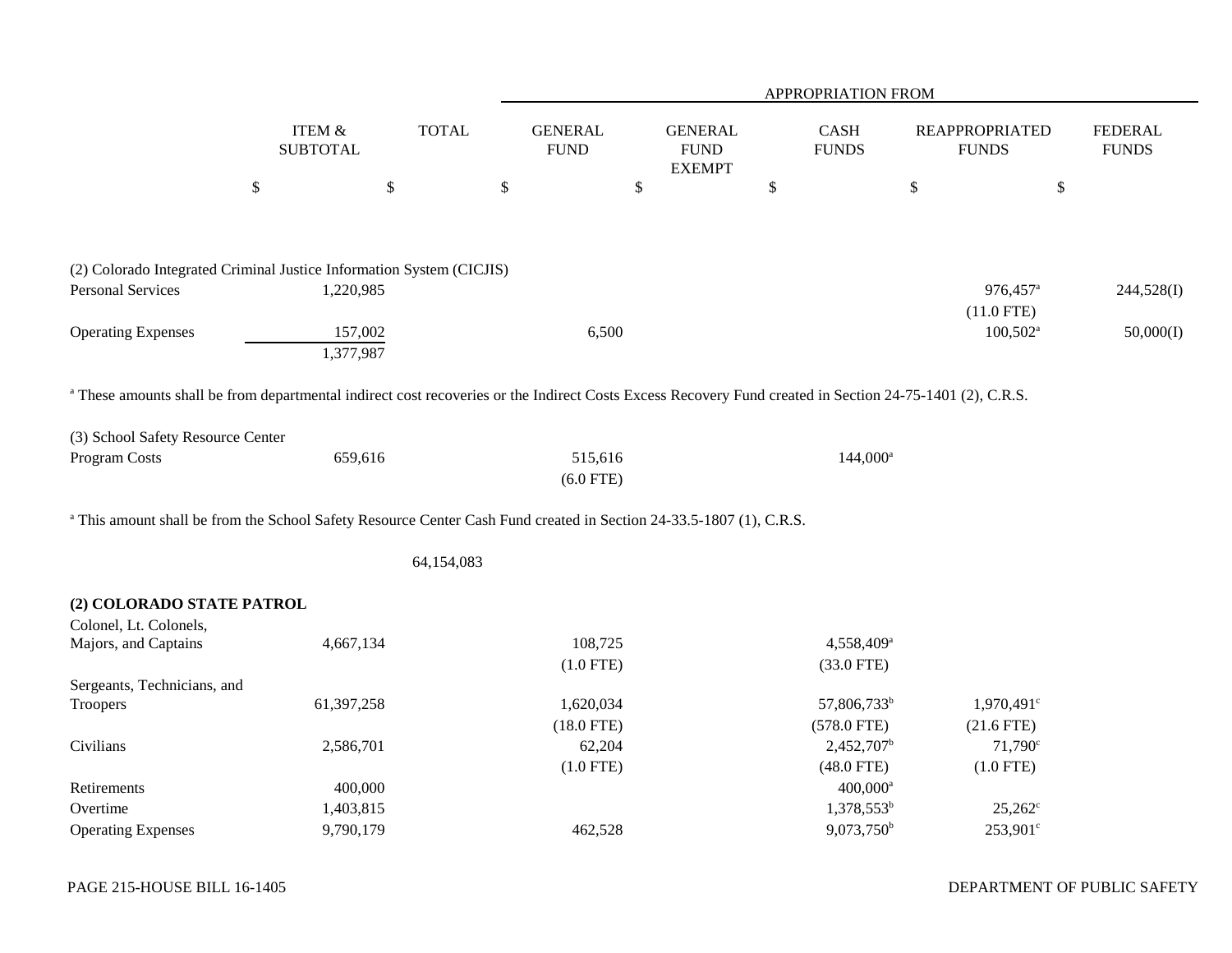|                                                                                                                                                                     |                                      |              |                               |                                                | APPROPRIATION FROM          |                                       |                                |
|---------------------------------------------------------------------------------------------------------------------------------------------------------------------|--------------------------------------|--------------|-------------------------------|------------------------------------------------|-----------------------------|---------------------------------------|--------------------------------|
|                                                                                                                                                                     | <b>ITEM &amp;</b><br><b>SUBTOTAL</b> | <b>TOTAL</b> | <b>GENERAL</b><br><b>FUND</b> | <b>GENERAL</b><br><b>FUND</b><br><b>EXEMPT</b> | <b>CASH</b><br><b>FUNDS</b> | <b>REAPPROPRIATED</b><br><b>FUNDS</b> | <b>FEDERAL</b><br><b>FUNDS</b> |
|                                                                                                                                                                     | $\$$                                 | $\$$         | \$                            | \$                                             | $\boldsymbol{\$}$           | \$<br>$\$$                            |                                |
| (2) Colorado Integrated Criminal Justice Information System (CICJIS)                                                                                                |                                      |              |                               |                                                |                             |                                       |                                |
| <b>Personal Services</b>                                                                                                                                            | 1,220,985                            |              |                               |                                                |                             | 976,457 <sup>a</sup>                  | 244,528(I)                     |
|                                                                                                                                                                     |                                      |              |                               |                                                |                             | $(11.0$ FTE)                          |                                |
| <b>Operating Expenses</b>                                                                                                                                           | 157,002<br>1,377,987                 |              | 6,500                         |                                                |                             | $100,502^{\text{a}}$                  | 50,000(I)                      |
| <sup>a</sup> These amounts shall be from departmental indirect cost recoveries or the Indirect Costs Excess Recovery Fund created in Section 24-75-1401 (2), C.R.S. |                                      |              |                               |                                                |                             |                                       |                                |
| (3) School Safety Resource Center                                                                                                                                   |                                      |              |                               |                                                |                             |                                       |                                |
| Program Costs                                                                                                                                                       | 659,616                              |              | 515,616<br>$(6.0$ FTE)        |                                                | $144,000^a$                 |                                       |                                |
| <sup>a</sup> This amount shall be from the School Safety Resource Center Cash Fund created in Section 24-33.5-1807 (1), C.R.S.                                      |                                      |              |                               |                                                |                             |                                       |                                |
|                                                                                                                                                                     |                                      | 64,154,083   |                               |                                                |                             |                                       |                                |
| (2) COLORADO STATE PATROL<br>Colonel, Lt. Colonels,                                                                                                                 |                                      |              |                               |                                                |                             |                                       |                                |
| Majors, and Captains                                                                                                                                                | 4,667,134                            |              | 108,725                       |                                                | 4,558,409 <sup>a</sup>      |                                       |                                |
|                                                                                                                                                                     |                                      |              | $(1.0$ FTE)                   |                                                | $(33.0$ FTE)                |                                       |                                |
| Sergeants, Technicians, and                                                                                                                                         |                                      |              |                               |                                                |                             |                                       |                                |
| Troopers                                                                                                                                                            | 61,397,258                           |              | 1,620,034                     |                                                | 57,806,733 <sup>b</sup>     | $1,970,491$ <sup>c</sup>              |                                |
|                                                                                                                                                                     |                                      |              | $(18.0$ FTE)                  |                                                | $(578.0$ FTE)               | $(21.6$ FTE)                          |                                |
| Civilians                                                                                                                                                           | 2,586,701                            |              | 62,204                        |                                                | 2,452,707 <sup>b</sup>      | $71,790^{\circ}$                      |                                |
|                                                                                                                                                                     |                                      |              | $(1.0$ FTE)                   |                                                | $(48.0$ FTE)                | $(1.0$ FTE)                           |                                |
| Retirements                                                                                                                                                         | 400,000                              |              |                               |                                                | 400,000 <sup>a</sup>        |                                       |                                |
| Overtime                                                                                                                                                            | 1,403,815                            |              |                               |                                                | $1,378,553^b$               | $25,262^{\circ}$                      |                                |
| <b>Operating Expenses</b>                                                                                                                                           | 9,790,179                            |              | 462,528                       |                                                | $9,073,750^b$               | $253,901^{\circ}$                     |                                |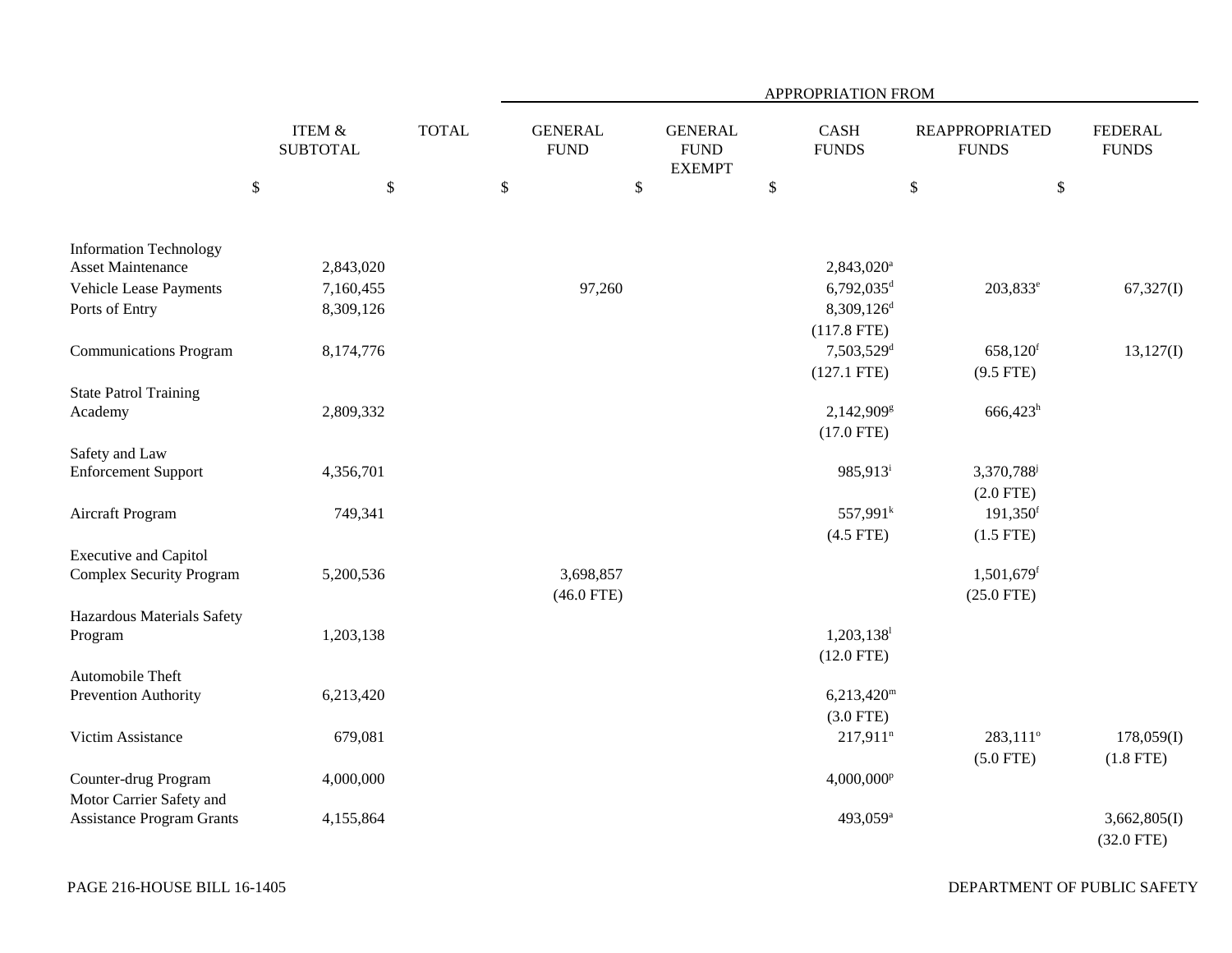|                                  |                           |              | APPROPRIATION FROM            |                                                |                             |                                       |                                |  |  |  |
|----------------------------------|---------------------------|--------------|-------------------------------|------------------------------------------------|-----------------------------|---------------------------------------|--------------------------------|--|--|--|
|                                  | ITEM &<br><b>SUBTOTAL</b> | <b>TOTAL</b> | <b>GENERAL</b><br><b>FUND</b> | <b>GENERAL</b><br><b>FUND</b><br><b>EXEMPT</b> | <b>CASH</b><br><b>FUNDS</b> | <b>REAPPROPRIATED</b><br><b>FUNDS</b> | <b>FEDERAL</b><br><b>FUNDS</b> |  |  |  |
|                                  | $\$$<br>$\$\,$            |              | $\$$                          | \$                                             | $\mathcal{S}$               | \$<br>$\$$                            |                                |  |  |  |
|                                  |                           |              |                               |                                                |                             |                                       |                                |  |  |  |
| <b>Information Technology</b>    |                           |              |                               |                                                |                             |                                       |                                |  |  |  |
| <b>Asset Maintenance</b>         | 2,843,020                 |              |                               |                                                | 2,843,020 <sup>a</sup>      |                                       |                                |  |  |  |
| Vehicle Lease Payments           | 7,160,455                 |              | 97,260                        |                                                | $6,792,035$ <sup>d</sup>    | 203,833 <sup>e</sup>                  | 67,327(I)                      |  |  |  |
| Ports of Entry                   | 8,309,126                 |              |                               |                                                | 8,309,126 <sup>d</sup>      |                                       |                                |  |  |  |
|                                  |                           |              |                               |                                                | $(117.8$ FTE)               |                                       |                                |  |  |  |
| <b>Communications Program</b>    | 8,174,776                 |              |                               |                                                | 7,503,529 <sup>d</sup>      | $658,120$ <sup>f</sup>                | 13,127(I)                      |  |  |  |
|                                  |                           |              |                               |                                                | $(127.1$ FTE)               | $(9.5$ FTE)                           |                                |  |  |  |
| <b>State Patrol Training</b>     |                           |              |                               |                                                |                             |                                       |                                |  |  |  |
| Academy                          | 2,809,332                 |              |                               |                                                | 2,142,909 <sup>g</sup>      | $666,423^h$                           |                                |  |  |  |
|                                  |                           |              |                               |                                                | $(17.0$ FTE)                |                                       |                                |  |  |  |
| Safety and Law                   |                           |              |                               |                                                |                             |                                       |                                |  |  |  |
| <b>Enforcement Support</b>       | 4,356,701                 |              |                               |                                                | 985,913 <sup>i</sup>        | 3,370,788 <sup>j</sup>                |                                |  |  |  |
|                                  |                           |              |                               |                                                |                             | $(2.0$ FTE)                           |                                |  |  |  |
| Aircraft Program                 | 749,341                   |              |                               |                                                | $557,991^k$                 | $191,350$ <sup>f</sup>                |                                |  |  |  |
|                                  |                           |              |                               |                                                | $(4.5$ FTE)                 | $(1.5$ FTE)                           |                                |  |  |  |
| <b>Executive and Capitol</b>     |                           |              |                               |                                                |                             |                                       |                                |  |  |  |
| <b>Complex Security Program</b>  | 5,200,536                 |              | 3,698,857                     |                                                |                             | $1,501,679$ <sup>f</sup>              |                                |  |  |  |
|                                  |                           |              | $(46.0$ FTE)                  |                                                |                             | $(25.0$ FTE)                          |                                |  |  |  |
| Hazardous Materials Safety       |                           |              |                               |                                                |                             |                                       |                                |  |  |  |
| Program                          | 1,203,138                 |              |                               |                                                | $1,203,138$ <sup>1</sup>    |                                       |                                |  |  |  |
|                                  |                           |              |                               |                                                | $(12.0$ FTE)                |                                       |                                |  |  |  |
| Automobile Theft                 |                           |              |                               |                                                |                             |                                       |                                |  |  |  |
| Prevention Authority             | 6,213,420                 |              |                               |                                                | $6,213,420^{\rm m}$         |                                       |                                |  |  |  |
|                                  |                           |              |                               |                                                | $(3.0$ FTE)                 |                                       |                                |  |  |  |
| Victim Assistance                | 679,081                   |              |                               |                                                | $217,911^n$                 | 283,111 <sup>°</sup>                  | 178,059(I)                     |  |  |  |
|                                  |                           |              |                               |                                                |                             | $(5.0$ FTE)                           | $(1.8$ FTE)                    |  |  |  |
| Counter-drug Program             | 4,000,000                 |              |                               |                                                | 4,000,000 <sup>p</sup>      |                                       |                                |  |  |  |
| Motor Carrier Safety and         |                           |              |                               |                                                |                             |                                       |                                |  |  |  |
| <b>Assistance Program Grants</b> | 4,155,864                 |              |                               |                                                | 493,059 <sup>a</sup>        |                                       | 3,662,805(I)                   |  |  |  |
|                                  |                           |              |                               |                                                |                             |                                       | $(32.0$ FTE)                   |  |  |  |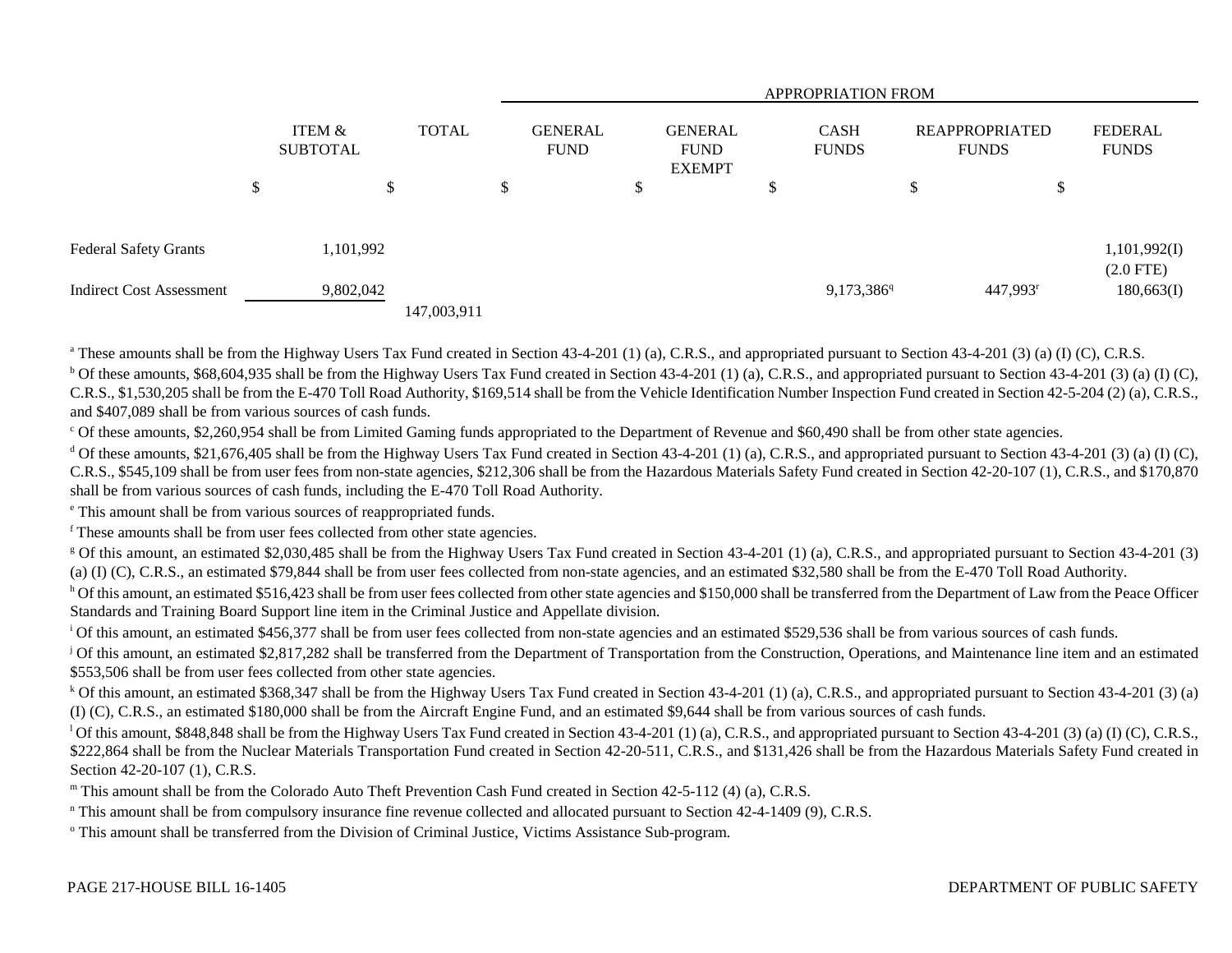|                                 |                                      |              |              | <b>APPROPRIATION FROM</b> |                               |    |                                                |    |                             |   |                                |                                |
|---------------------------------|--------------------------------------|--------------|--------------|---------------------------|-------------------------------|----|------------------------------------------------|----|-----------------------------|---|--------------------------------|--------------------------------|
|                                 | <b>ITEM &amp;</b><br><b>SUBTOTAL</b> |              | <b>TOTAL</b> |                           | <b>GENERAL</b><br><b>FUND</b> |    | <b>GENERAL</b><br><b>FUND</b><br><b>EXEMPT</b> |    | <b>CASH</b><br><b>FUNDS</b> |   | REAPPROPRIATED<br><b>FUNDS</b> | <b>FEDERAL</b><br><b>FUNDS</b> |
|                                 | \$                                   | $\mathbb{S}$ |              | \$                        |                               | \$ |                                                | \$ |                             | D | \$                             |                                |
| <b>Federal Safety Grants</b>    |                                      | 1,101,992    |              |                           |                               |    |                                                |    |                             |   |                                | 1,101,992(I)<br>$(2.0$ FTE)    |
| <b>Indirect Cost Assessment</b> |                                      | 9,802,042    | 147,003,911  |                           |                               |    |                                                |    | 9,173,386 <sup>q</sup>      |   | 447,993 <sup>r</sup>           | 180,663(I)                     |

<sup>a</sup> These amounts shall be from the Highway Users Tax Fund created in Section 43-4-201 (1) (a), C.R.S., and appropriated pursuant to Section 43-4-201 (3) (a) (I) (C), C.R.S.

 $b$  Of these amounts, \$68,604,935 shall be from the Highway Users Tax Fund created in Section 43-4-201 (1) (a), C.R.S., and appropriated pursuant to Section 43-4-201 (3) (a) (I) (C), C.R.S., \$1,530,205 shall be from the E-470 Toll Road Authority, \$169,514 shall be from the Vehicle Identification Number Inspection Fund created in Section 42-5-204 (2) (a), C.R.S., and \$407,089 shall be from various sources of cash funds.

c Of these amounts, \$2,260,954 shall be from Limited Gaming funds appropriated to the Department of Revenue and \$60,490 shall be from other state agencies.

<sup>d</sup> Of these amounts, \$21,676,405 shall be from the Highway Users Tax Fund created in Section 43-4-201 (1) (a), C.R.S., and appropriated pursuant to Section 43-4-201 (3) (a) (I) (C), C.R.S., \$545,109 shall be from user fees from non-state agencies, \$212,306 shall be from the Hazardous Materials Safety Fund created in Section 42-20-107 (1), C.R.S., and \$170,870 shall be from various sources of cash funds, including the E-470 Toll Road Authority.

e This amount shall be from various sources of reappropriated funds.

f These amounts shall be from user fees collected from other state agencies.

<sup>g</sup> Of this amount, an estimated \$2,030,485 shall be from the Highway Users Tax Fund created in Section 43-4-201 (1) (a), C.R.S., and appropriated pursuant to Section 43-4-201 (3) (a) (I) (C), C.R.S., an estimated \$79,844 shall be from user fees collected from non-state agencies, and an estimated \$32,580 shall be from the E-470 Toll Road Authority.

h Of this amount, an estimated \$516,423 shall be from user fees collected from other state agencies and \$150,000 shall be transferred from the Department of Law from the Peace Officer Standards and Training Board Support line item in the Criminal Justice and Appellate division.

<sup>1</sup>Of this amount, an estimated \$456,377 shall be from user fees collected from non-state agencies and an estimated \$529,536 shall be from various sources of cash funds.

<sup>j</sup> Of this amount, an estimated \$2,817,282 shall be transferred from the Department of Transportation from the Construction, Operations, and Maintenance line item and an estimated \$553,506 shall be from user fees collected from other state agencies.

<sup>k</sup> Of this amount, an estimated \$368,347 shall be from the Highway Users Tax Fund created in Section 43-4-201 (1) (a), C.R.S., and appropriated pursuant to Section 43-4-201 (3) (a) (I) (C), C.R.S., an estimated \$180,000 shall be from the Aircraft Engine Fund, and an estimated \$9,644 shall be from various sources of cash funds.

<sup>1</sup> Of this amount, \$848,848 shall be from the Highway Users Tax Fund created in Section 43-4-201 (1) (a), C.R.S., and appropriated pursuant to Section 43-4-201 (3) (a) (I) (C), C.R.S., \$222,864 shall be from the Nuclear Materials Transportation Fund created in Section 42-20-511, C.R.S., and \$131,426 shall be from the Hazardous Materials Safety Fund created in Section 42-20-107 (1), C.R.S.

m This amount shall be from the Colorado Auto Theft Prevention Cash Fund created in Section 42-5-112 (4) (a), C.R.S.

n This amount shall be from compulsory insurance fine revenue collected and allocated pursuant to Section 42-4-1409 (9), C.R.S.

o This amount shall be transferred from the Division of Criminal Justice, Victims Assistance Sub-program.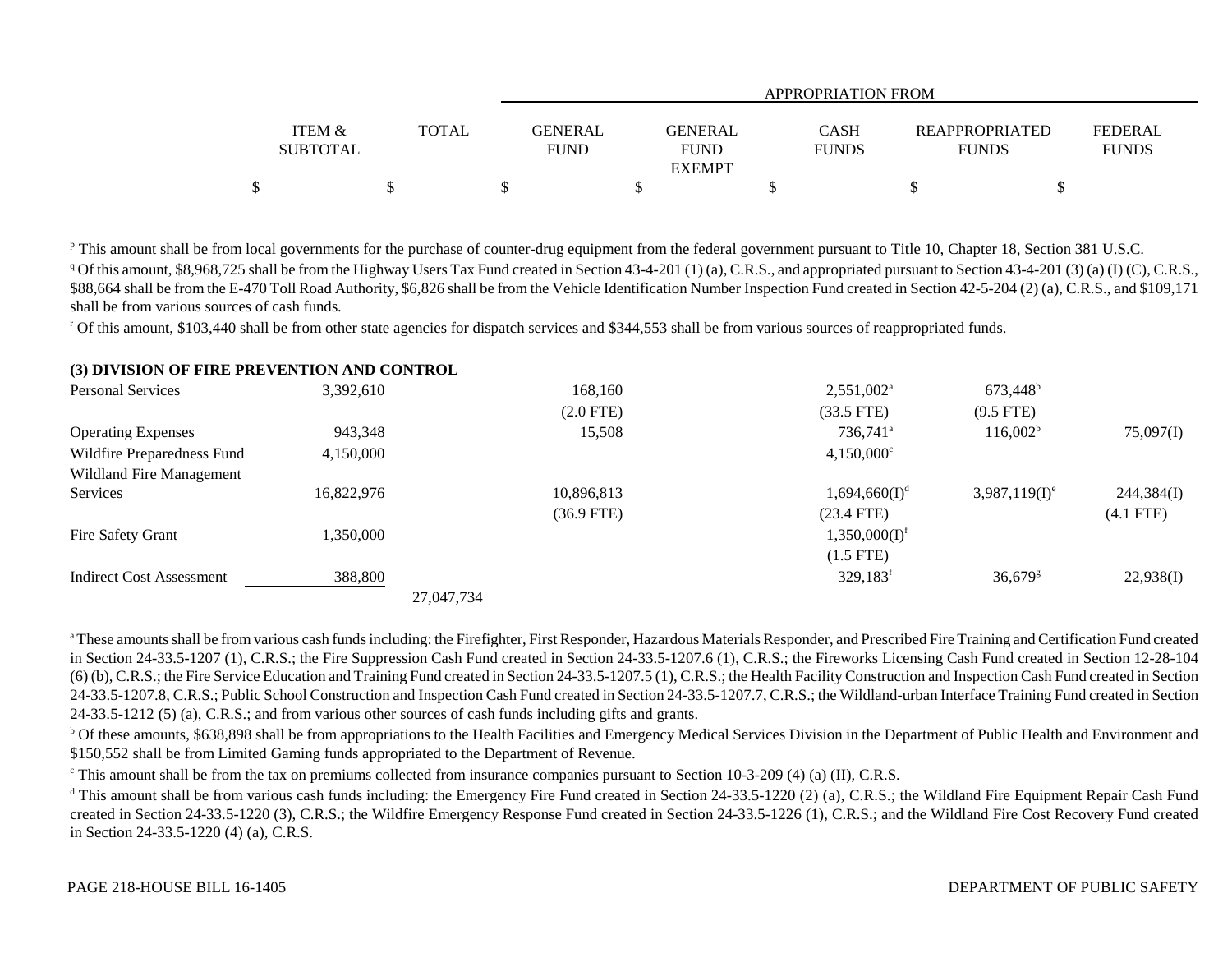|                                      |       |                        | <b>APPROPRIATION FROM</b>               |                      |                                       |                         |  |  |  |  |  |
|--------------------------------------|-------|------------------------|-----------------------------------------|----------------------|---------------------------------------|-------------------------|--|--|--|--|--|
| <b>ITEM &amp;</b><br><b>SUBTOTAL</b> | TOTAL | GENERAL<br><b>FUND</b> | GENERAL<br><b>FUND</b><br><b>EXEMPT</b> | CASH<br><b>FUNDS</b> | <b>REAPPROPRIATED</b><br><b>FUNDS</b> | FEDERAL<br><b>FUNDS</b> |  |  |  |  |  |
|                                      |       |                        |                                         |                      |                                       |                         |  |  |  |  |  |

P This amount shall be from local governments for the purchase of counter-drug equipment from the federal government pursuant to Title 10, Chapter 18, Section 381 U.S.C. <sup>q</sup> Of this amount, \$8,968,725 shall be from the Highway Users Tax Fund created in Section 43-4-201 (1) (a), C.R.S., and appropriated pursuant to Section 43-4-201 (3) (a) (I) (C), C.R.S., \$88,664 shall be from the E-470 Toll Road Authority, \$6,826 shall be from the Vehicle Identification Number Inspection Fund created in Section 42-5-204 (2) (a), C.R.S., and \$109,171 shall be from various sources of cash funds.

<sup>r</sup> Of this amount, \$103,440 shall be from other state agencies for dispatch services and \$344,553 shall be from various sources of reappropriated funds.

### **(3) DIVISION OF FIRE PREVENTION AND CONTROL**

| <b>Personal Services</b>   | 3,392,610  |            | 168,160      | 2,551,002 <sup>a</sup>    | 673,448 <sup>b</sup>        |             |
|----------------------------|------------|------------|--------------|---------------------------|-----------------------------|-------------|
|                            |            |            | $(2.0$ FTE)  | $(33.5$ FTE)              | $(9.5$ FTE)                 |             |
| <b>Operating Expenses</b>  | 943,348    |            | 15,508       | 736,741 <sup>a</sup>      | 116,002 <sup>b</sup>        | 75,097(I)   |
| Wildfire Preparedness Fund | 4,150,000  |            |              | $4,150,000^{\circ}$       |                             |             |
| Wildland Fire Management   |            |            |              |                           |                             |             |
| Services                   | 16,822,976 |            | 10,896,813   | 1,694,660(I) <sup>d</sup> | $3,987,119(1)$ <sup>e</sup> | 244,384(I)  |
|                            |            |            | $(36.9$ FTE) | (23.4 FTE)                |                             | $(4.1$ FTE) |
| Fire Safety Grant          | 1,350,000  |            |              | 1,350,000(I) <sup>f</sup> |                             |             |
|                            |            |            |              | $(1.5$ FTE)               |                             |             |
| Indirect Cost Assessment   | 388,800    |            |              | 329,183 <sup>f</sup>      | $36,679$ <sup>g</sup>       | 22,938(I)   |
|                            |            | 27,047,734 |              |                           |                             |             |

<sup>a</sup> These amounts shall be from various cash funds including: the Firefighter, First Responder, Hazardous Materials Responder, and Prescribed Fire Training and Certification Fund created in Section 24-33.5-1207 (1), C.R.S.; the Fire Suppression Cash Fund created in Section 24-33.5-1207.6 (1), C.R.S.; the Fireworks Licensing Cash Fund created in Section 12-28-104 (6) (b), C.R.S.; the Fire Service Education and Training Fund created in Section 24-33.5-1207.5 (1), C.R.S.; the Health Facility Construction and Inspection Cash Fund created in Section 24-33.5-1207.8, C.R.S.; Public School Construction and Inspection Cash Fund created in Section 24-33.5-1207.7, C.R.S.; the Wildland-urban Interface Training Fund created in Section 24-33.5-1212 (5) (a), C.R.S.; and from various other sources of cash funds including gifts and grants.

<sup>b</sup> Of these amounts, \$638,898 shall be from appropriations to the Health Facilities and Emergency Medical Services Division in the Department of Public Health and Environment and \$150,552 shall be from Limited Gaming funds appropriated to the Department of Revenue.

c This amount shall be from the tax on premiums collected from insurance companies pursuant to Section 10-3-209 (4) (a) (II), C.R.S.

<sup>d</sup> This amount shall be from various cash funds including: the Emergency Fire Fund created in Section 24-33.5-1220 (2) (a), C.R.S.; the Wildland Fire Equipment Repair Cash Fund created in Section 24-33.5-1220 (3), C.R.S.; the Wildfire Emergency Response Fund created in Section 24-33.5-1226 (1), C.R.S.; and the Wildland Fire Cost Recovery Fund created in Section 24-33.5-1220 (4) (a), C.R.S.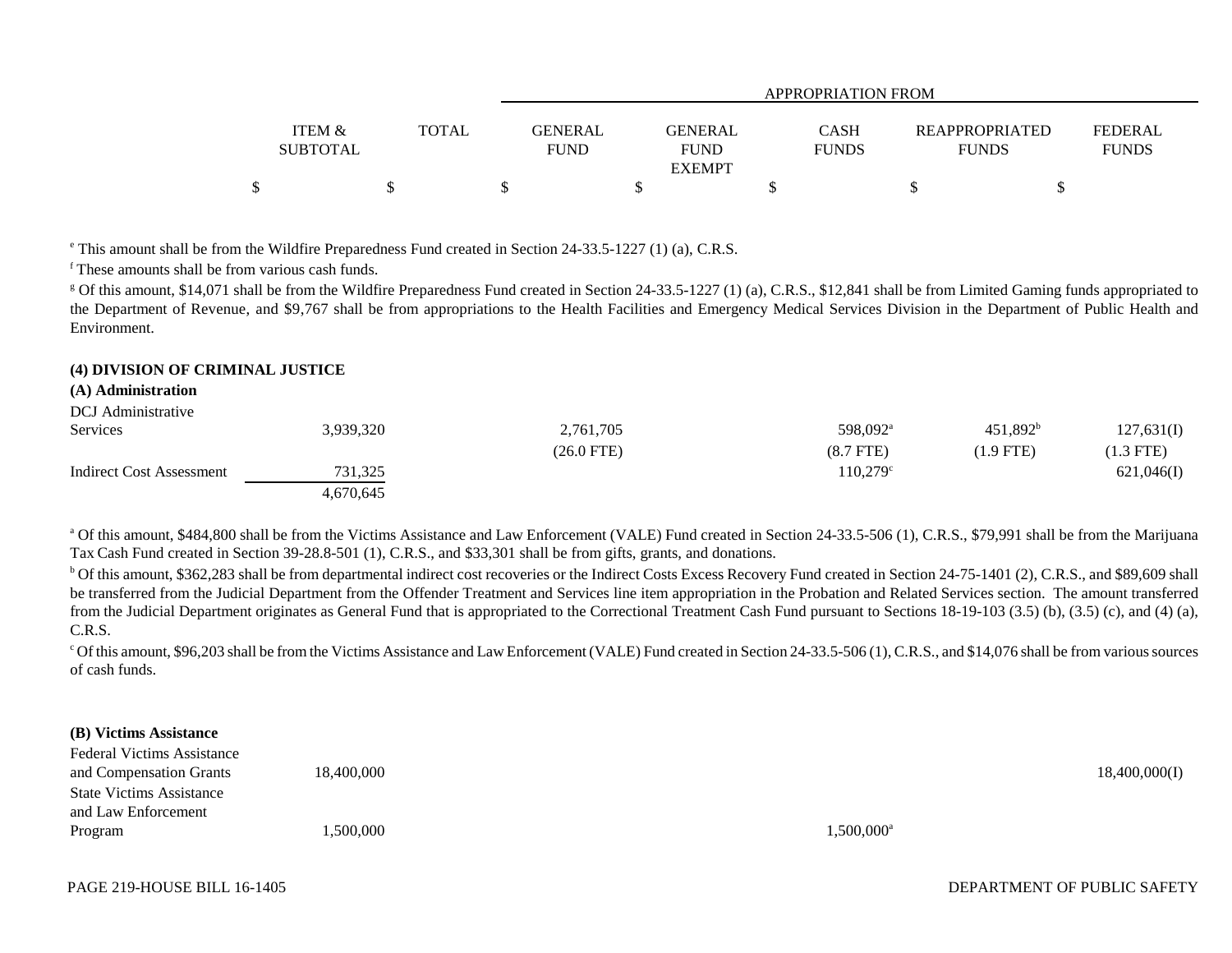|                   |              |                |               |              | APPROPRIATION FROM    |                |  |  |
|-------------------|--------------|----------------|---------------|--------------|-----------------------|----------------|--|--|
| <b>ITEM &amp;</b> | <b>TOTAL</b> | <b>GENERAL</b> | GENERAL       | CASH         | <b>REAPPROPRIATED</b> | <b>FEDERAL</b> |  |  |
| <b>SUBTOTAL</b>   |              | <b>FUND</b>    | <b>FUND</b>   | <b>FUNDS</b> | <b>FUNDS</b>          | <b>FUNDS</b>   |  |  |
|                   |              |                | <b>EXEMPT</b> |              |                       |                |  |  |
| \$                |              |                |               |              |                       |                |  |  |

e This amount shall be from the Wildfire Preparedness Fund created in Section 24-33.5-1227 (1) (a), C.R.S.

f These amounts shall be from various cash funds.

<sup>g</sup> Of this amount, \$14,071 shall be from the Wildfire Preparedness Fund created in Section 24-33.5-1227 (1) (a), C.R.S., \$12,841 shall be from Limited Gaming funds appropriated to the Department of Revenue, and \$9,767 shall be from appropriations to the Health Facilities and Emergency Medical Services Division in the Department of Public Health and Environment.

#### **(4) DIVISION OF CRIMINAL JUSTICE**

#### **(A) Administration**

| DCJ Administrative |
|--------------------|
|                    |

| DUJ AUHHHISHAHVU         |           |            |                      |             |             |
|--------------------------|-----------|------------|----------------------|-------------|-------------|
| Services                 | 3,939,320 | 2,761,705  | 598,092 <sup>a</sup> | $451,892^b$ | 127,631(I)  |
|                          |           | (26.0 FTE) | $(8.7$ FTE)          | (1.9 FTE)   | $(1.3$ FTE) |
| Indirect Cost Assessment | 731,325   |            | $110,279^{\circ}$    |             | 621,046(I)  |
|                          | 4,670,645 |            |                      |             |             |

<sup>a</sup> Of this amount, \$484,800 shall be from the Victims Assistance and Law Enforcement (VALE) Fund created in Section 24-33.5-506 (1), C.R.S., \$79,991 shall be from the Marijuana Tax Cash Fund created in Section 39-28.8-501 (1), C.R.S., and \$33,301 shall be from gifts, grants, and donations.

<sup>b</sup> Of this amount, \$362,283 shall be from departmental indirect cost recoveries or the Indirect Costs Excess Recovery Fund created in Section 24-75-1401 (2), C.R.S., and \$89,609 shall be transferred from the Judicial Department from the Offender Treatment and Services line item appropriation in the Probation and Related Services section. The amount transferred from the Judicial Department originates as General Fund that is appropriated to the Correctional Treatment Cash Fund pursuant to Sections 18-19-103 (3.5) (b), (3.5) (c), and (4) (a), C.R.S.

<sup>c</sup> Of this amount, \$96,203 shall be from the Victims Assistance and Law Enforcement (VALE) Fund created in Section 24-33.5-506 (1), C.R.S., and \$14,076 shall be from various sources of cash funds.

#### **(B) Victims Assistance**

| Federal Victims Assistance      |            |                          |
|---------------------------------|------------|--------------------------|
| and Compensation Grants         | 18,400,000 | 18,400,000(I)            |
| <b>State Victims Assistance</b> |            |                          |
| and Law Enforcement             |            |                          |
| Program                         | .500,000   | $1,500,000$ <sup>a</sup> |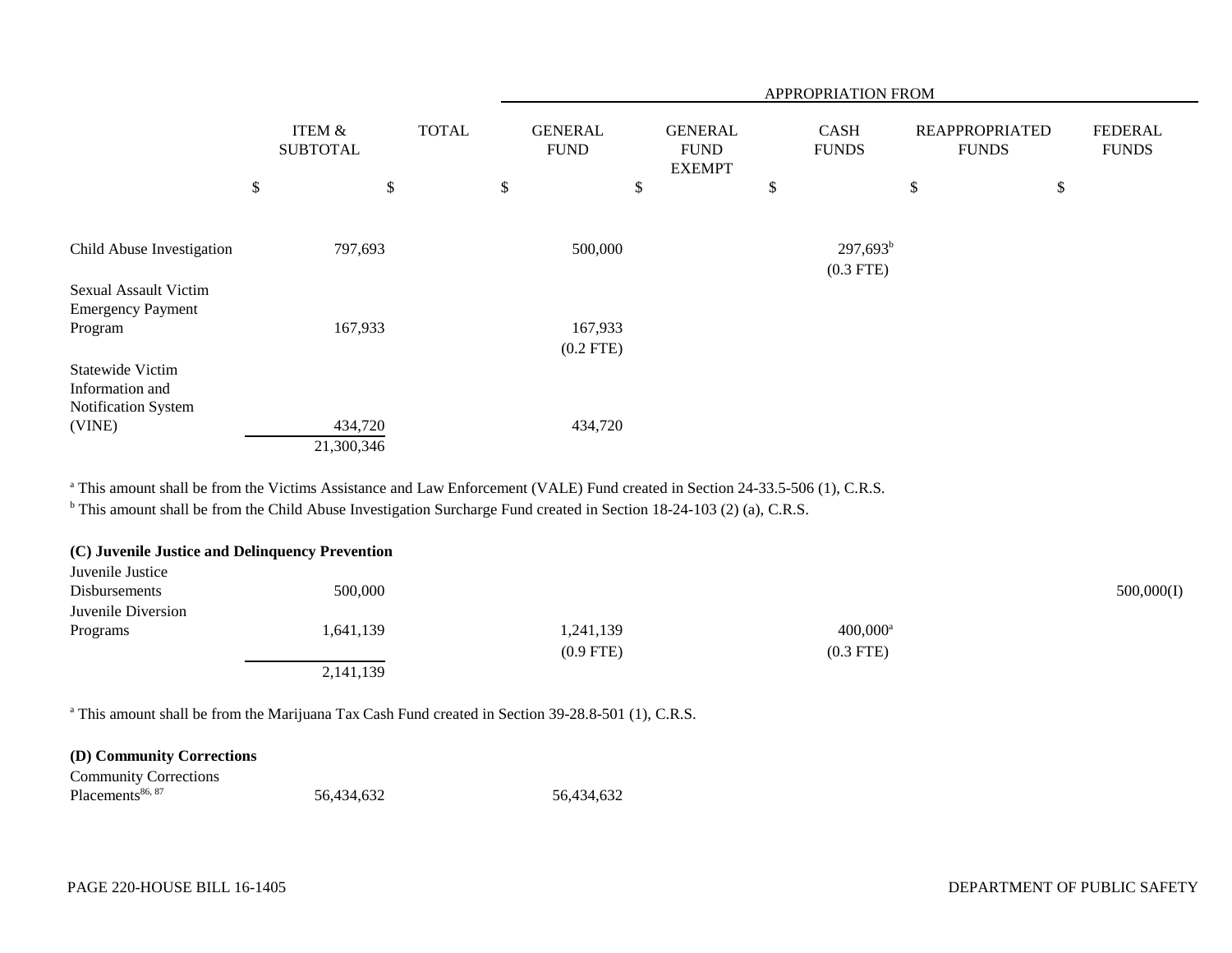|                                                          |                                      |              |             | APPROPRIATION FROM     |    |                                                |    |                             |                                       |    |                                |  |
|----------------------------------------------------------|--------------------------------------|--------------|-------------|------------------------|----|------------------------------------------------|----|-----------------------------|---------------------------------------|----|--------------------------------|--|
|                                                          | <b>ITEM &amp;</b><br><b>SUBTOTAL</b> | <b>TOTAL</b> | <b>FUND</b> | <b>GENERAL</b>         |    | <b>GENERAL</b><br><b>FUND</b><br><b>EXEMPT</b> |    | <b>CASH</b><br><b>FUNDS</b> | <b>REAPPROPRIATED</b><br><b>FUNDS</b> |    | <b>FEDERAL</b><br><b>FUNDS</b> |  |
|                                                          | \$<br>$\$$                           |              | \$          |                        | \$ |                                                | \$ |                             | $\$$                                  | \$ |                                |  |
| Child Abuse Investigation                                | 797,693                              |              |             | 500,000                |    |                                                |    | $297,693^b$<br>$(0.3$ FTE)  |                                       |    |                                |  |
| <b>Sexual Assault Victim</b><br><b>Emergency Payment</b> |                                      |              |             |                        |    |                                                |    |                             |                                       |    |                                |  |
| Program                                                  | 167,933                              |              |             | 167,933<br>$(0.2$ FTE) |    |                                                |    |                             |                                       |    |                                |  |
| <b>Statewide Victim</b><br>Information and               |                                      |              |             |                        |    |                                                |    |                             |                                       |    |                                |  |
| Notification System<br>(VINE)                            | 434,720<br>21,300,346                |              |             | 434,720                |    |                                                |    |                             |                                       |    |                                |  |

<sup>a</sup> This amount shall be from the Victims Assistance and Law Enforcement (VALE) Fund created in Section 24-33.5-506 (1), C.R.S.

<sup>b</sup> This amount shall be from the Child Abuse Investigation Surcharge Fund created in Section 18-24-103 (2) (a), C.R.S.

| Juvenile Justice<br>Disbursements | 500,000   |             |                        | 500,000(I) |
|-----------------------------------|-----------|-------------|------------------------|------------|
| Juvenile Diversion                |           |             |                        |            |
| Programs                          | .641,139  | 1,241,139   | $400,000$ <sup>a</sup> |            |
|                                   |           | $(0.9$ FTE) | $(0.3$ FTE)            |            |
|                                   | 2,141,139 |             |                        |            |

<sup>a</sup> This amount shall be from the Marijuana Tax Cash Fund created in Section 39-28.8-501 (1), C.R.S.

# **(D) Community Corrections**

| <b>Community Corrections</b> |            |            |
|------------------------------|------------|------------|
| Placements <sup>86, 87</sup> | 56,434,632 | 56,434,632 |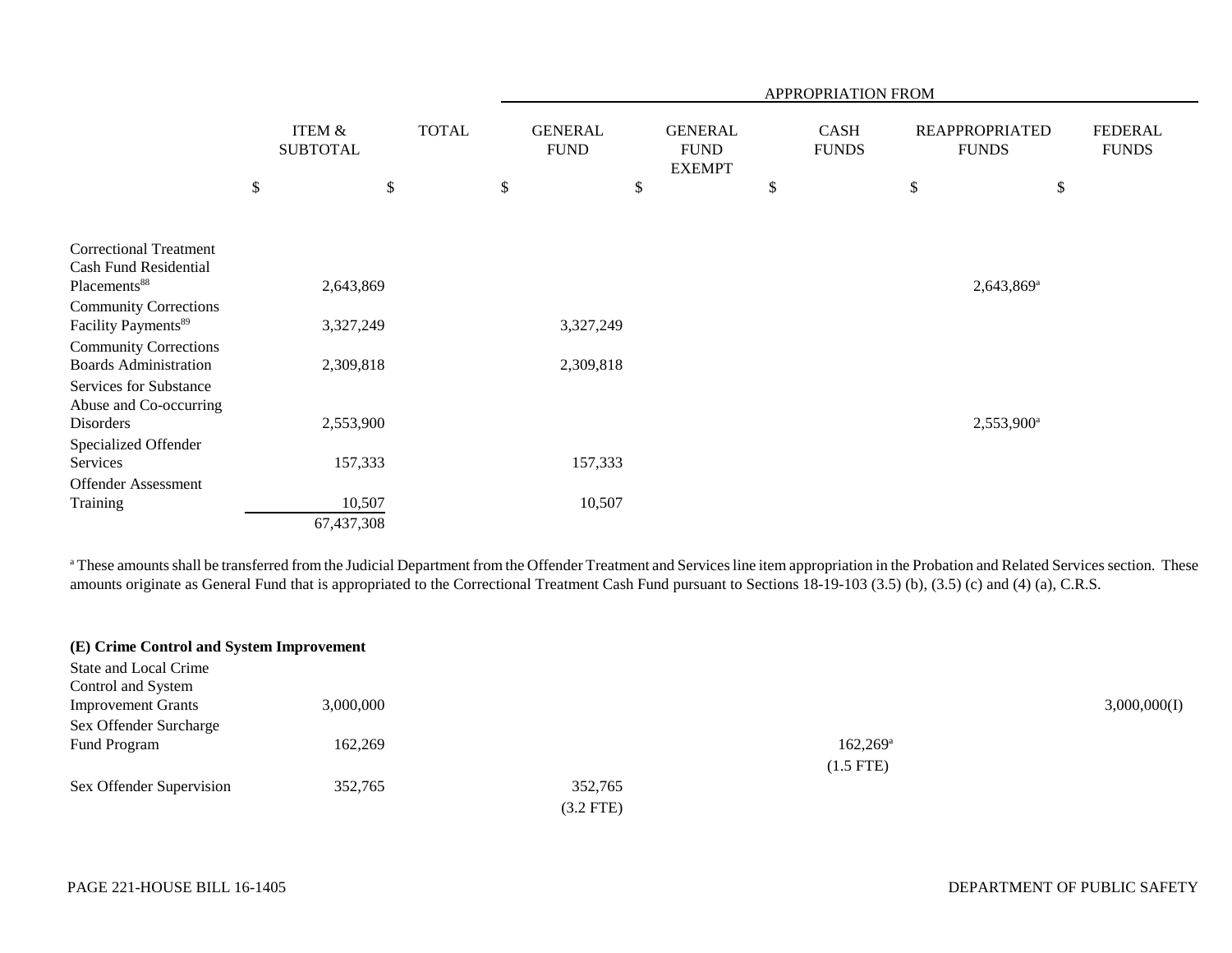|                                                                                           |      |                                      |              | APPROPRIATION FROM            |                                                |    |                             |    |                                       |                                |  |
|-------------------------------------------------------------------------------------------|------|--------------------------------------|--------------|-------------------------------|------------------------------------------------|----|-----------------------------|----|---------------------------------------|--------------------------------|--|
|                                                                                           |      | <b>ITEM &amp;</b><br><b>SUBTOTAL</b> | <b>TOTAL</b> | <b>GENERAL</b><br><b>FUND</b> | <b>GENERAL</b><br><b>FUND</b><br><b>EXEMPT</b> |    | <b>CASH</b><br><b>FUNDS</b> |    | <b>REAPPROPRIATED</b><br><b>FUNDS</b> | <b>FEDERAL</b><br><b>FUNDS</b> |  |
|                                                                                           | $\$$ | \$                                   |              | \$                            | \$                                             | \$ |                             | \$ | \$                                    |                                |  |
|                                                                                           |      |                                      |              |                               |                                                |    |                             |    |                                       |                                |  |
| <b>Correctional Treatment</b><br><b>Cash Fund Residential</b><br>Placements <sup>88</sup> |      | 2,643,869                            |              |                               |                                                |    |                             |    | 2,643,869 <sup>a</sup>                |                                |  |
| <b>Community Corrections</b><br>Facility Payments <sup>89</sup>                           |      | 3,327,249                            |              | 3,327,249                     |                                                |    |                             |    |                                       |                                |  |
| <b>Community Corrections</b><br><b>Boards Administration</b>                              |      | 2,309,818                            |              | 2,309,818                     |                                                |    |                             |    |                                       |                                |  |
| Services for Substance<br>Abuse and Co-occurring<br>Disorders                             |      | 2,553,900                            |              |                               |                                                |    |                             |    | 2,553,900 <sup>a</sup>                |                                |  |
| Specialized Offender<br>Services                                                          |      | 157,333                              |              | 157,333                       |                                                |    |                             |    |                                       |                                |  |
| <b>Offender Assessment</b>                                                                |      |                                      |              |                               |                                                |    |                             |    |                                       |                                |  |
| Training                                                                                  |      | 10,507                               |              | 10,507                        |                                                |    |                             |    |                                       |                                |  |
|                                                                                           |      | 67,437,308                           |              |                               |                                                |    |                             |    |                                       |                                |  |

<sup>a</sup> These amounts shall be transferred from the Judicial Department from the Offender Treatment and Services line item appropriation in the Probation and Related Services section. These amounts originate as General Fund that is appropriated to the Correctional Treatment Cash Fund pursuant to Sections 18-19-103 (3.5) (b), (3.5) (c) and (4) (a), C.R.S.

| (E) Crime Control and System Improvement |           |             |                   |              |
|------------------------------------------|-----------|-------------|-------------------|--------------|
| State and Local Crime                    |           |             |                   |              |
| Control and System                       |           |             |                   |              |
| <b>Improvement Grants</b>                | 3,000,000 |             |                   | 3,000,000(I) |
| Sex Offender Surcharge                   |           |             |                   |              |
| Fund Program                             | 162,269   |             | $162,269^{\rm a}$ |              |
|                                          |           |             | $(1.5$ FTE)       |              |
| Sex Offender Supervision                 | 352,765   | 352,765     |                   |              |
|                                          |           | $(3.2$ FTE) |                   |              |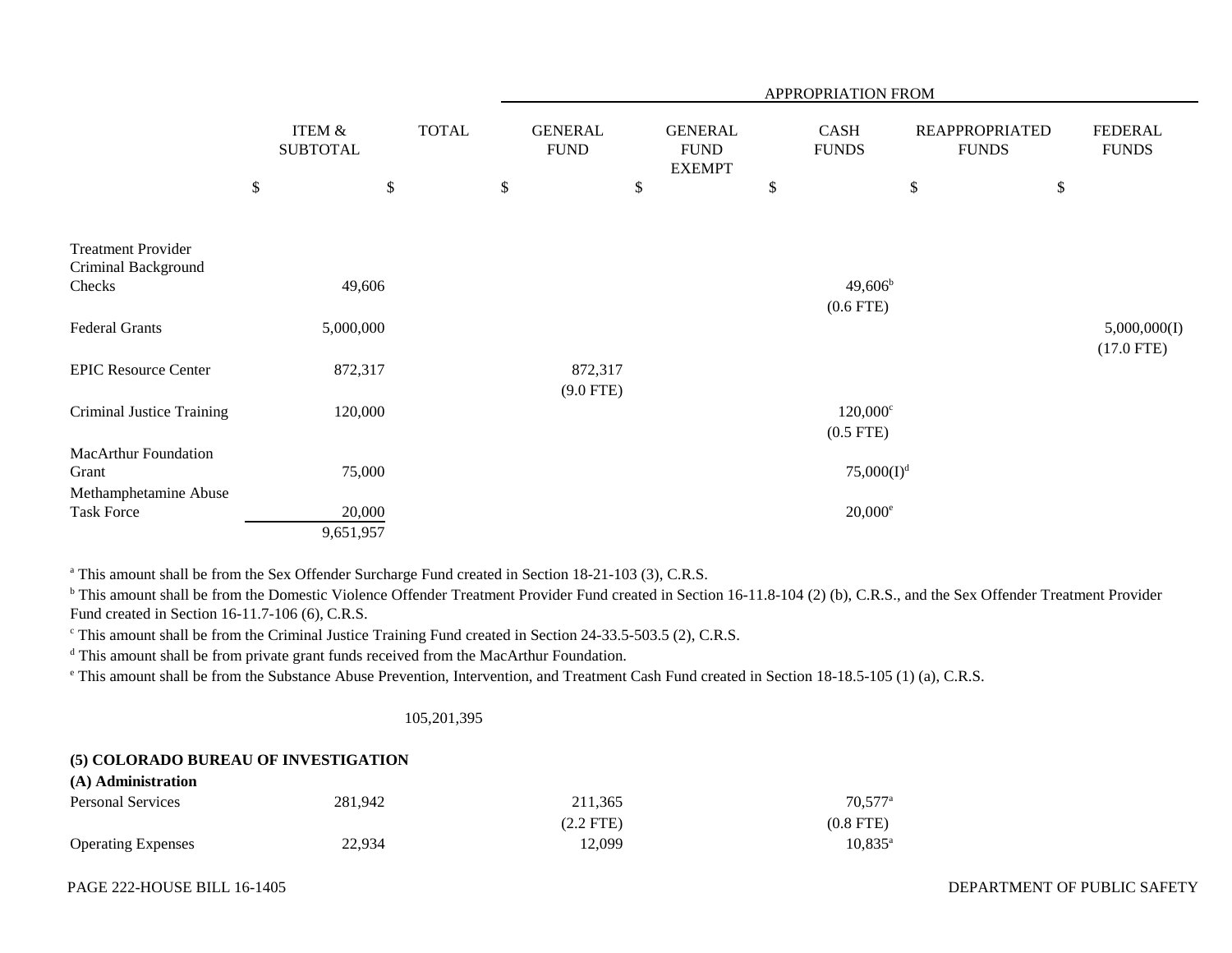|                                                            |      | APPROPRIATION FROM                   |    |              |    |                               |    |                                                |    |                                       |                                       |                                |
|------------------------------------------------------------|------|--------------------------------------|----|--------------|----|-------------------------------|----|------------------------------------------------|----|---------------------------------------|---------------------------------------|--------------------------------|
|                                                            |      | <b>ITEM &amp;</b><br><b>SUBTOTAL</b> |    | <b>TOTAL</b> |    | <b>GENERAL</b><br><b>FUND</b> |    | <b>GENERAL</b><br><b>FUND</b><br><b>EXEMPT</b> |    | CASH<br><b>FUNDS</b>                  | <b>REAPPROPRIATED</b><br><b>FUNDS</b> | <b>FEDERAL</b><br><b>FUNDS</b> |
|                                                            | $\$$ |                                      | \$ |              | \$ |                               | \$ |                                                | \$ |                                       | \$<br>\$                              |                                |
| <b>Treatment Provider</b><br>Criminal Background<br>Checks |      | 49,606                               |    |              |    |                               |    |                                                |    | $49,606^b$                            |                                       |                                |
|                                                            |      |                                      |    |              |    |                               |    |                                                |    | $(0.6$ FTE)                           |                                       |                                |
| <b>Federal Grants</b>                                      |      | 5,000,000                            |    |              |    |                               |    |                                                |    |                                       |                                       | 5,000,000(I)<br>$(17.0$ FTE)   |
| <b>EPIC Resource Center</b>                                |      | 872,317                              |    |              |    | 872,317<br>$(9.0$ FTE)        |    |                                                |    |                                       |                                       |                                |
| <b>Criminal Justice Training</b>                           |      | 120,000                              |    |              |    |                               |    |                                                |    | $120,000$ <sup>c</sup><br>$(0.5$ FTE) |                                       |                                |
| MacArthur Foundation                                       |      |                                      |    |              |    |                               |    |                                                |    |                                       |                                       |                                |
| Grant                                                      |      | 75,000                               |    |              |    |                               |    |                                                |    | $75,000(I)^d$                         |                                       |                                |
| Methamphetamine Abuse<br><b>Task Force</b>                 |      | 20,000                               |    |              |    |                               |    |                                                |    | $20,000^{\circ}$                      |                                       |                                |
|                                                            |      | 9,651,957                            |    |              |    |                               |    |                                                |    |                                       |                                       |                                |

<sup>a</sup> This amount shall be from the Sex Offender Surcharge Fund created in Section 18-21-103 (3), C.R.S.

<sup>b</sup> This amount shall be from the Domestic Violence Offender Treatment Provider Fund created in Section 16-11.8-104 (2) (b), C.R.S., and the Sex Offender Treatment Provider Fund created in Section 16-11.7-106 (6), C.R.S.

<sup>c</sup> This amount shall be from the Criminal Justice Training Fund created in Section 24-33.5-503.5 (2), C.R.S.

<sup>d</sup> This amount shall be from private grant funds received from the MacArthur Foundation.

<sup>e</sup> This amount shall be from the Substance Abuse Prevention, Intervention, and Treatment Cash Fund created in Section 18-18.5-105 (1) (a), C.R.S.

### 105,201,395

#### **(5) COLORADO BUREAU OF INVESTIGATION (A) Administration**

| (A) Administration        |         |             |                  |
|---------------------------|---------|-------------|------------------|
| Personal Services         | 281.942 | 211,365     | $70.577^{\circ}$ |
|                           |         | $(2.2$ FTE) | $(0.8$ FTE)      |
| <b>Operating Expenses</b> | 22.934  | 12.099      | $10.835^{\circ}$ |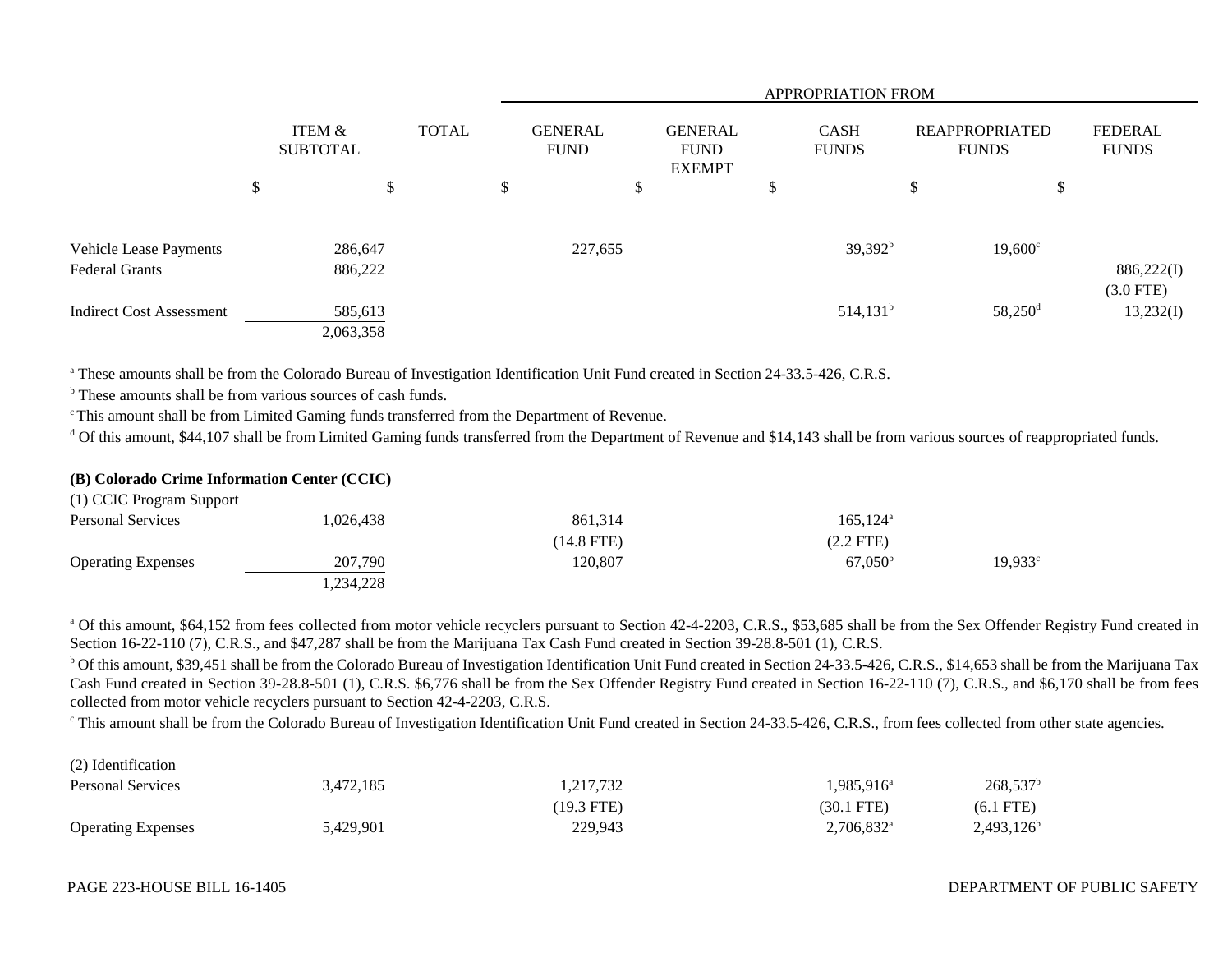|                                 |    |                                      |    |  |              | APPROPRIATION FROM |                               |  |                                                |             |                             |                       |                                       |                                |
|---------------------------------|----|--------------------------------------|----|--|--------------|--------------------|-------------------------------|--|------------------------------------------------|-------------|-----------------------------|-----------------------|---------------------------------------|--------------------------------|
|                                 |    | <b>ITEM &amp;</b><br><b>SUBTOTAL</b> |    |  | <b>TOTAL</b> |                    | <b>GENERAL</b><br><b>FUND</b> |  | <b>GENERAL</b><br><b>FUND</b><br><b>EXEMPT</b> |             | <b>CASH</b><br><b>FUNDS</b> |                       | <b>REAPPROPRIATED</b><br><b>FUNDS</b> | <b>FEDERAL</b><br><b>FUNDS</b> |
|                                 | \$ |                                      | \$ |  | \$           |                    | \$                            |  | \$                                             |             | \$                          | \$                    |                                       |                                |
| <b>Vehicle Lease Payments</b>   |    | 286,647                              |    |  |              | 227,655            |                               |  |                                                | $39,392^b$  |                             | $19,600^{\circ}$      |                                       |                                |
| <b>Federal Grants</b>           |    | 886,222                              |    |  |              |                    |                               |  |                                                |             |                             |                       | 886,222(I)<br>$(3.0$ FTE)             |                                |
| <b>Indirect Cost Assessment</b> |    | 585,613<br>2,063,358                 |    |  |              |                    |                               |  |                                                | $514,131^b$ |                             | $58,250$ <sup>d</sup> | 13,232(I)                             |                                |

a These amounts shall be from the Colorado Bureau of Investigation Identification Unit Fund created in Section 24-33.5-426, C.R.S.

<sup>b</sup> These amounts shall be from various sources of cash funds.

<sup>c</sup> This amount shall be from Limited Gaming funds transferred from the Department of Revenue.

<sup>d</sup> Of this amount, \$44,107 shall be from Limited Gaming funds transferred from the Department of Revenue and \$14,143 shall be from various sources of reappropriated funds.

# **(B) Colorado Crime Information Center (CCIC)**

| (1) CCIC Program Support  |           |            |                         |                  |
|---------------------------|-----------|------------|-------------------------|------------------|
| <b>Personal Services</b>  | 1.026.438 | 861.314    | $165, 124$ <sup>a</sup> |                  |
|                           |           | (14.8 FTE) | $(2.2$ FTE)             |                  |
| <b>Operating Expenses</b> | 207,790   | 120.807    | $67,050^{\rm b}$        | $19,933^{\circ}$ |
|                           | 1,234,228 |            |                         |                  |

<sup>a</sup> Of this amount, \$64,152 from fees collected from motor vehicle recyclers pursuant to Section 42-4-2203, C.R.S., \$53,685 shall be from the Sex Offender Registry Fund created in Section 16-22-110 (7), C.R.S., and \$47,287 shall be from the Marijuana Tax Cash Fund created in Section 39-28.8-501 (1), C.R.S.

<sup>b</sup> Of this amount, \$39,451 shall be from the Colorado Bureau of Investigation Identification Unit Fund created in Section 24-33.5-426, C.R.S., \$14,653 shall be from the Marijuana Tax Cash Fund created in Section 39-28.8-501 (1), C.R.S. \$6,776 shall be from the Sex Offender Registry Fund created in Section 16-22-110 (7), C.R.S., and \$6,170 shall be from fees collected from motor vehicle recyclers pursuant to Section 42-4-2203, C.R.S.

<sup>c</sup> This amount shall be from the Colorado Bureau of Investigation Identification Unit Fund created in Section 24-33.5-426, C.R.S., from fees collected from other state agencies.

| (2) Identification        |           |            |                          |               |
|---------------------------|-----------|------------|--------------------------|---------------|
| <b>Personal Services</b>  | 3.472.185 | 1.217.732  | $1,985,916^{\circ}$      | $268,537^b$   |
|                           |           | (19.3 FTE) | (30.1 FTE)               | $(6.1$ FTE)   |
| <b>Operating Expenses</b> | 5.429.901 | 229,943    | $2,706,832$ <sup>a</sup> | $2,493,126^b$ |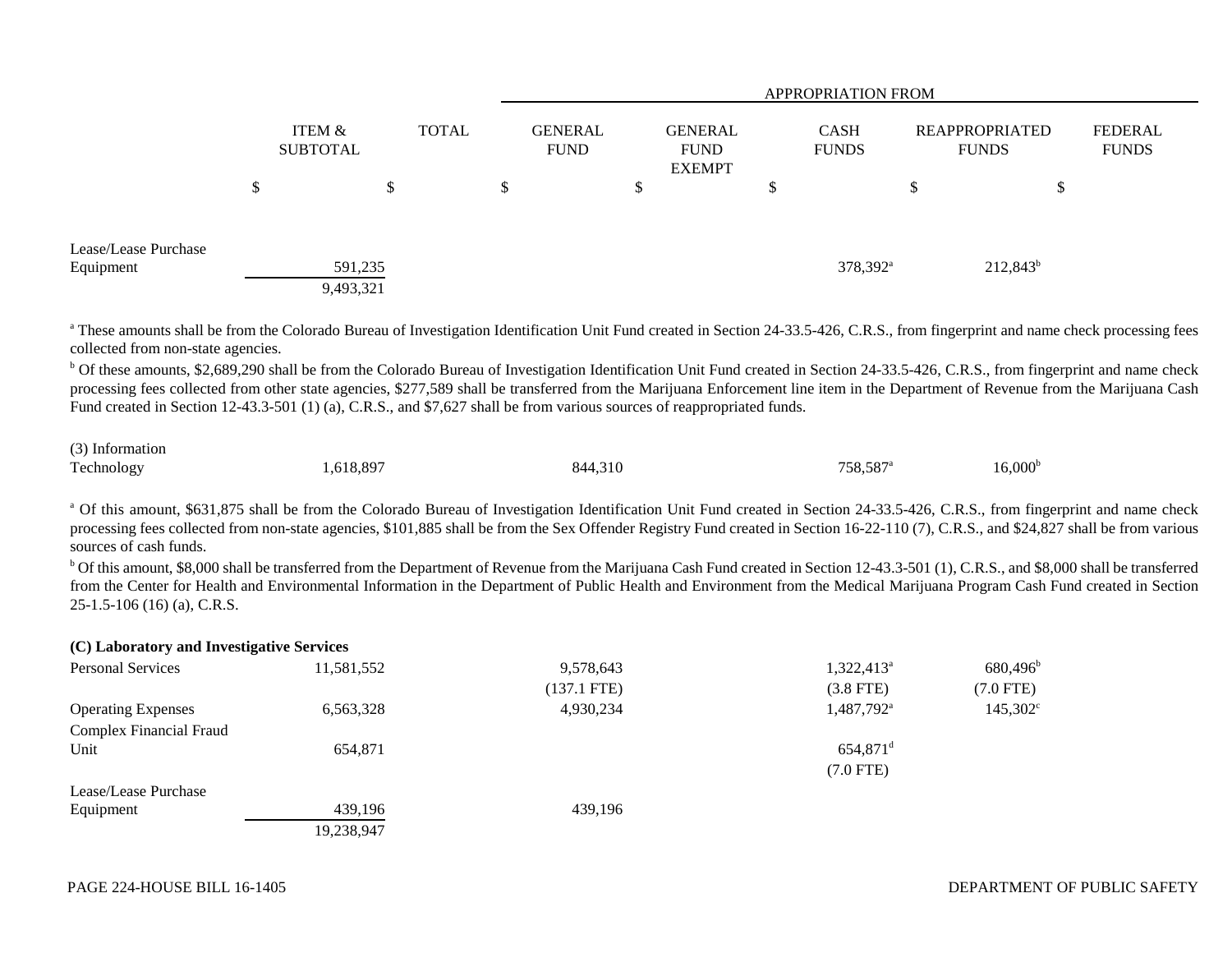|                                   |                           |              |    | <b>APPROPRIATION FROM</b>     |   |                                                |  |                             |   |                                                  |  |
|-----------------------------------|---------------------------|--------------|----|-------------------------------|---|------------------------------------------------|--|-----------------------------|---|--------------------------------------------------|--|
|                                   | ITEM &<br><b>SUBTOTAL</b> | <b>TOTAL</b> |    | <b>GENERAL</b><br><b>FUND</b> |   | <b>GENERAL</b><br><b>FUND</b><br><b>EXEMPT</b> |  | <b>CASH</b><br><b>FUNDS</b> |   | FEDERAL<br><b>REAPPROPRIATED</b><br><b>FUNDS</b> |  |
|                                   | \$<br>\$                  |              | ۰D |                               | D |                                                |  |                             | Ф | ₼<br>J                                           |  |
| Lease/Lease Purchase<br>Equipment | 591,235                   |              |    |                               |   |                                                |  | 378,392 <sup>a</sup>        |   | $212,843^b$                                      |  |
|                                   | 9,493,321                 |              |    |                               |   |                                                |  |                             |   |                                                  |  |

<sup>a</sup> These amounts shall be from the Colorado Bureau of Investigation Identification Unit Fund created in Section 24-33.5-426, C.R.S., from fingerprint and name check processing fees collected from non-state agencies.

<sup>b</sup> Of these amounts, \$2,689,290 shall be from the Colorado Bureau of Investigation Identification Unit Fund created in Section 24-33.5-426, C.R.S., from fingerprint and name check processing fees collected from other state agencies, \$277,589 shall be transferred from the Marijuana Enforcement line item in the Department of Revenue from the Marijuana Cash Fund created in Section 12-43.3-501 (1) (a), C.R.S., and \$7,627 shall be from various sources of reappropriated funds.

# (3) Information

| Technology | .618,897 | 844.310 | 758.587 | 16,000 <sup>b</sup> |
|------------|----------|---------|---------|---------------------|
|------------|----------|---------|---------|---------------------|

<sup>a</sup> Of this amount, \$631,875 shall be from the Colorado Bureau of Investigation Identification Unit Fund created in Section 24-33.5-426, C.R.S., from fingerprint and name check processing fees collected from non-state agencies, \$101,885 shall be from the Sex Offender Registry Fund created in Section 16-22-110 (7), C.R.S., and \$24,827 shall be from various sources of cash funds.

<sup>b</sup> Of this amount, \$8,000 shall be transferred from the Department of Revenue from the Marijuana Cash Fund created in Section 12-43.3-501 (1), C.R.S., and \$8,000 shall be transferred from the Center for Health and Environmental Information in the Department of Public Health and Environment from the Medical Marijuana Program Cash Fund created in Section 25-1.5-106 (16) (a), C.R.S.

| (C) Laboratory and Investigative Services |            |               |                        |                   |
|-------------------------------------------|------------|---------------|------------------------|-------------------|
| <b>Personal Services</b>                  | 11,581,552 | 9,578,643     | 1,322,413 <sup>a</sup> | $680,496^{\rm b}$ |
|                                           |            | $(137.1$ FTE) | $(3.8$ FTE)            | $(7.0$ FTE)       |
| <b>Operating Expenses</b>                 | 6,563,328  | 4,930,234     | $1,487,792^{\text{a}}$ | $145,302^{\circ}$ |
| <b>Complex Financial Fraud</b>            |            |               |                        |                   |
| Unit                                      | 654.871    |               | $654,871$ <sup>d</sup> |                   |
|                                           |            |               | $(7.0$ FTE)            |                   |
| Lease/Lease Purchase                      |            |               |                        |                   |
| Equipment                                 | 439,196    | 439.196       |                        |                   |
|                                           | 19,238,947 |               |                        |                   |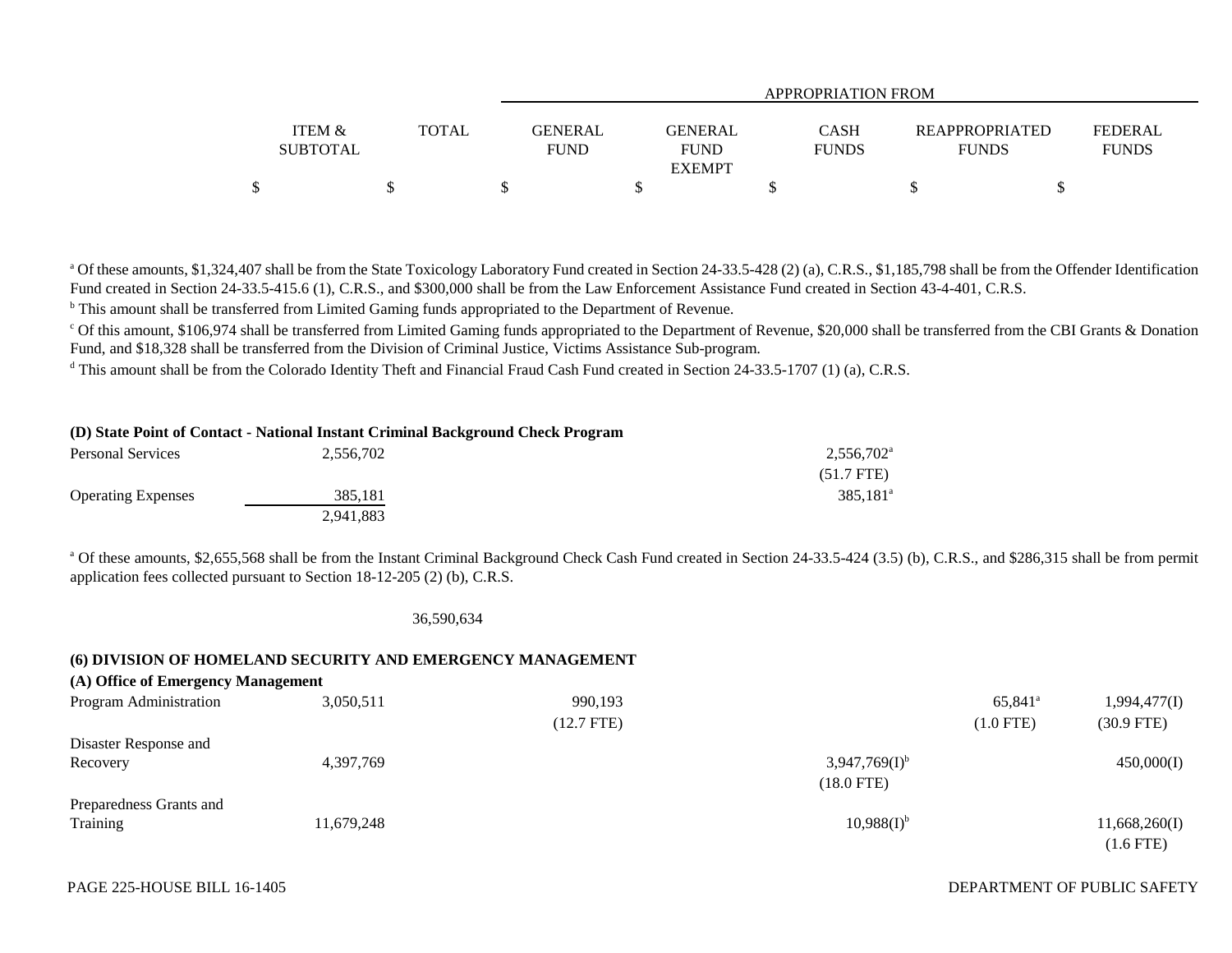|                                      |              |                        | APPROPRIATION FROM            |                             |                                       |                         |  |  |  |  |
|--------------------------------------|--------------|------------------------|-------------------------------|-----------------------------|---------------------------------------|-------------------------|--|--|--|--|
|                                      |              |                        |                               |                             |                                       |                         |  |  |  |  |
| <b>ITEM &amp;</b><br><b>SUBTOTAL</b> | <b>TOTAL</b> | GENERAL<br><b>FUND</b> | <b>GENERAL</b><br><b>FUND</b> | <b>CASH</b><br><b>FUNDS</b> | <b>REAPPROPRIATED</b><br><b>FUNDS</b> | FEDERAL<br><b>FUNDS</b> |  |  |  |  |
|                                      |              |                        | <b>EXEMPT</b>                 |                             |                                       |                         |  |  |  |  |
| Φ                                    |              |                        |                               |                             |                                       |                         |  |  |  |  |

<sup>a</sup> Of these amounts, \$1,324,407 shall be from the State Toxicology Laboratory Fund created in Section 24-33.5-428 (2) (a), C.R.S., \$1,185,798 shall be from the Offender Identification Fund created in Section 24-33.5-415.6 (1), C.R.S., and \$300,000 shall be from the Law Enforcement Assistance Fund created in Section 43-4-401, C.R.S.

<sup>b</sup> This amount shall be transferred from Limited Gaming funds appropriated to the Department of Revenue.

 $c$  Of this amount, \$106,974 shall be transferred from Limited Gaming funds appropriated to the Department of Revenue, \$20,000 shall be transferred from the CBI Grants & Donation Fund, and \$18,328 shall be transferred from the Division of Criminal Justice, Victims Assistance Sub-program.

<sup>d</sup> This amount shall be from the Colorado Identity Theft and Financial Fraud Cash Fund created in Section 24-33.5-1707 (1) (a), C.R.S.

#### **(D) State Point of Contact - National Instant Criminal Background Check Program**

| <b>Personal Services</b>  | 2,556,702 | $2,556,702^{\circ}$ |
|---------------------------|-----------|---------------------|
|                           |           | $(51.7$ FTE)        |
| <b>Operating Expenses</b> | 385.181   | $385.181^a$         |
|                           | 2,941,883 |                     |

<sup>a</sup> Of these amounts, \$2,655,568 shall be from the Instant Criminal Background Check Cash Fund created in Section 24-33.5-424 (3.5) (b), C.R.S., and \$286,315 shall be from permit application fees collected pursuant to Section 18-12-205 (2) (b), C.R.S.

#### 36,590,634

# **(6) DIVISION OF HOMELAND SECURITY AND EMERGENCY MANAGEMENT**

| (A) Office of Emergency Management |            |              |                             |                       |               |
|------------------------------------|------------|--------------|-----------------------------|-----------------------|---------------|
| Program Administration             | 3,050,511  | 990,193      |                             | $65,841$ <sup>a</sup> | 1,994,477(I)  |
|                                    |            | $(12.7$ FTE) |                             | $(1.0$ FTE)           | $(30.9$ FTE)  |
| Disaster Response and              |            |              |                             |                       |               |
| Recovery                           | 4,397,769  |              | $3,947,769(1)$ <sup>b</sup> |                       | 450,000(I)    |
|                                    |            |              | $(18.0$ FTE)                |                       |               |
| Preparedness Grants and            |            |              |                             |                       |               |
| Training                           | 11,679,248 |              | $10,988(1)$ <sup>b</sup>    |                       | 11,668,260(I) |
|                                    |            |              |                             |                       | $(1.6$ FTE)   |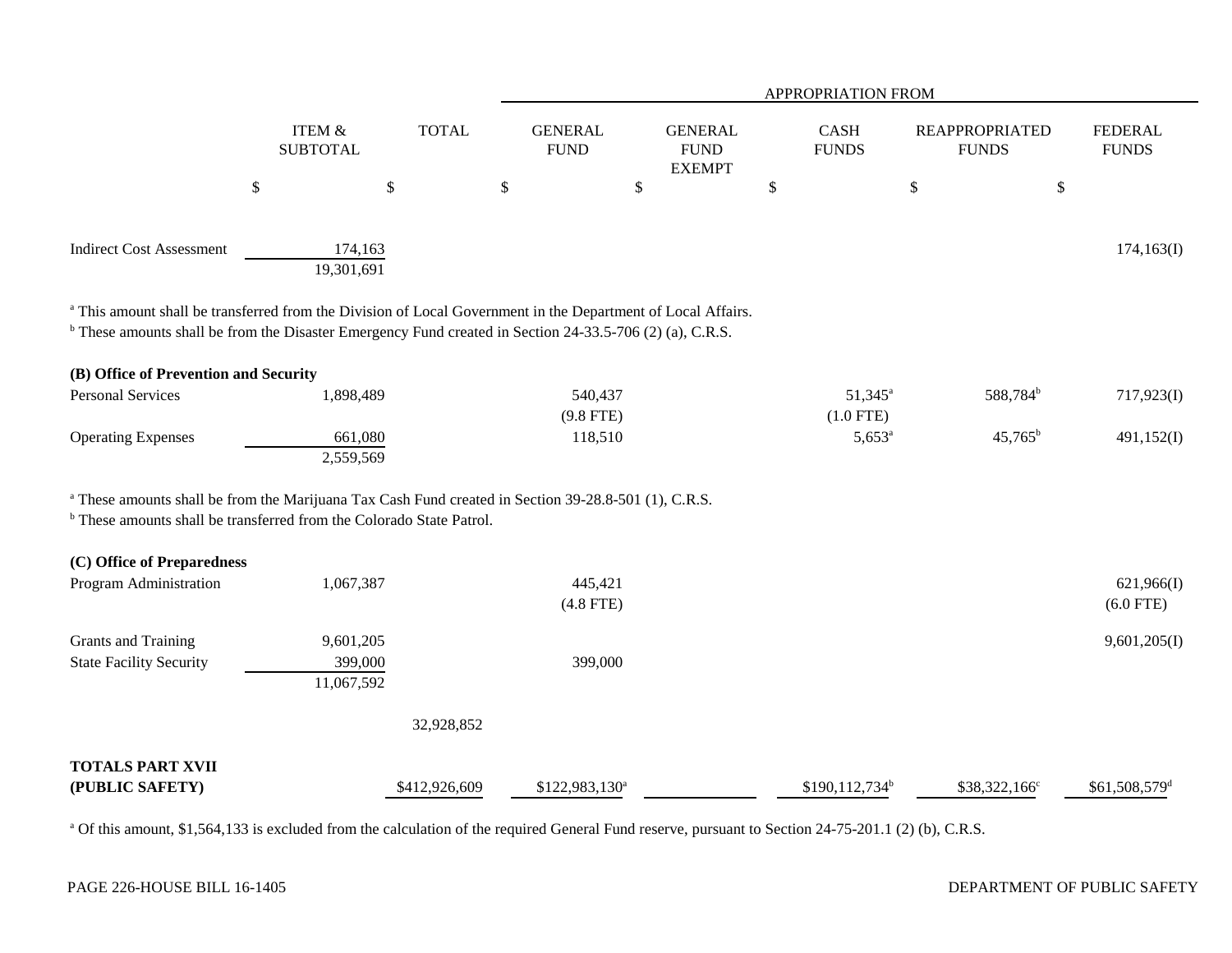|                                                                                                                                                                                                                                       |                                    |               |                               |                                                | APPROPRIATION FROM       |                                       |                                |
|---------------------------------------------------------------------------------------------------------------------------------------------------------------------------------------------------------------------------------------|------------------------------------|---------------|-------------------------------|------------------------------------------------|--------------------------|---------------------------------------|--------------------------------|
|                                                                                                                                                                                                                                       | ITEM &<br><b>SUBTOTAL</b>          | <b>TOTAL</b>  | <b>GENERAL</b><br><b>FUND</b> | <b>GENERAL</b><br><b>FUND</b><br><b>EXEMPT</b> | CASH<br><b>FUNDS</b>     | <b>REAPPROPRIATED</b><br><b>FUNDS</b> | <b>FEDERAL</b><br><b>FUNDS</b> |
|                                                                                                                                                                                                                                       | $\$$                               | \$            | \$                            | \$                                             | \$                       | \$                                    | $\boldsymbol{\mathsf{S}}$      |
| <b>Indirect Cost Assessment</b>                                                                                                                                                                                                       | 174,163<br>19,301,691              |               |                               |                                                |                          |                                       | 174,163(I)                     |
| <sup>a</sup> This amount shall be transferred from the Division of Local Government in the Department of Local Affairs.<br>$b$ These amounts shall be from the Disaster Emergency Fund created in Section 24-33.5-706 (2) (a), C.R.S. |                                    |               |                               |                                                |                          |                                       |                                |
| (B) Office of Prevention and Security                                                                                                                                                                                                 |                                    |               |                               |                                                |                          |                                       |                                |
| <b>Personal Services</b>                                                                                                                                                                                                              | 1,898,489                          |               | 540,437<br>$(9.8$ FTE)        |                                                | $51,345^{\circ}$         | 588,784 <sup>b</sup>                  | 717,923(I)                     |
| <b>Operating Expenses</b>                                                                                                                                                                                                             | 661,080<br>2,559,569               |               | 118,510                       |                                                | $(1.0$ FTE)<br>$5,653^a$ | $45,765^{\rm b}$                      | 491,152(I)                     |
| <sup>a</sup> These amounts shall be from the Marijuana Tax Cash Fund created in Section 39-28.8-501 (1), C.R.S.<br><sup>b</sup> These amounts shall be transferred from the Colorado State Patrol.                                    |                                    |               |                               |                                                |                          |                                       |                                |
| (C) Office of Preparedness                                                                                                                                                                                                            |                                    |               |                               |                                                |                          |                                       |                                |
| Program Administration                                                                                                                                                                                                                | 1,067,387                          |               | 445,421<br>$(4.8$ FTE)        |                                                |                          |                                       | 621,966(I)<br>$(6.0$ FTE)      |
| <b>Grants and Training</b><br><b>State Facility Security</b>                                                                                                                                                                          | 9,601,205<br>399,000<br>11,067,592 |               | 399,000                       |                                                |                          |                                       | 9,601,205(I)                   |
|                                                                                                                                                                                                                                       |                                    | 32,928,852    |                               |                                                |                          |                                       |                                |
| <b>TOTALS PART XVII</b>                                                                                                                                                                                                               |                                    |               |                               |                                                |                          |                                       |                                |
| (PUBLIC SAFETY)                                                                                                                                                                                                                       |                                    | \$412,926,609 | $$122,983,130^a$              |                                                | $$190,112,734^b$         | $$38,322,166^{\circ}$                 | $$61,508,579$ <sup>d</sup>     |

<sup>a</sup> Of this amount, \$1,564,133 is excluded from the calculation of the required General Fund reserve, pursuant to Section 24-75-201.1 (2) (b), C.R.S.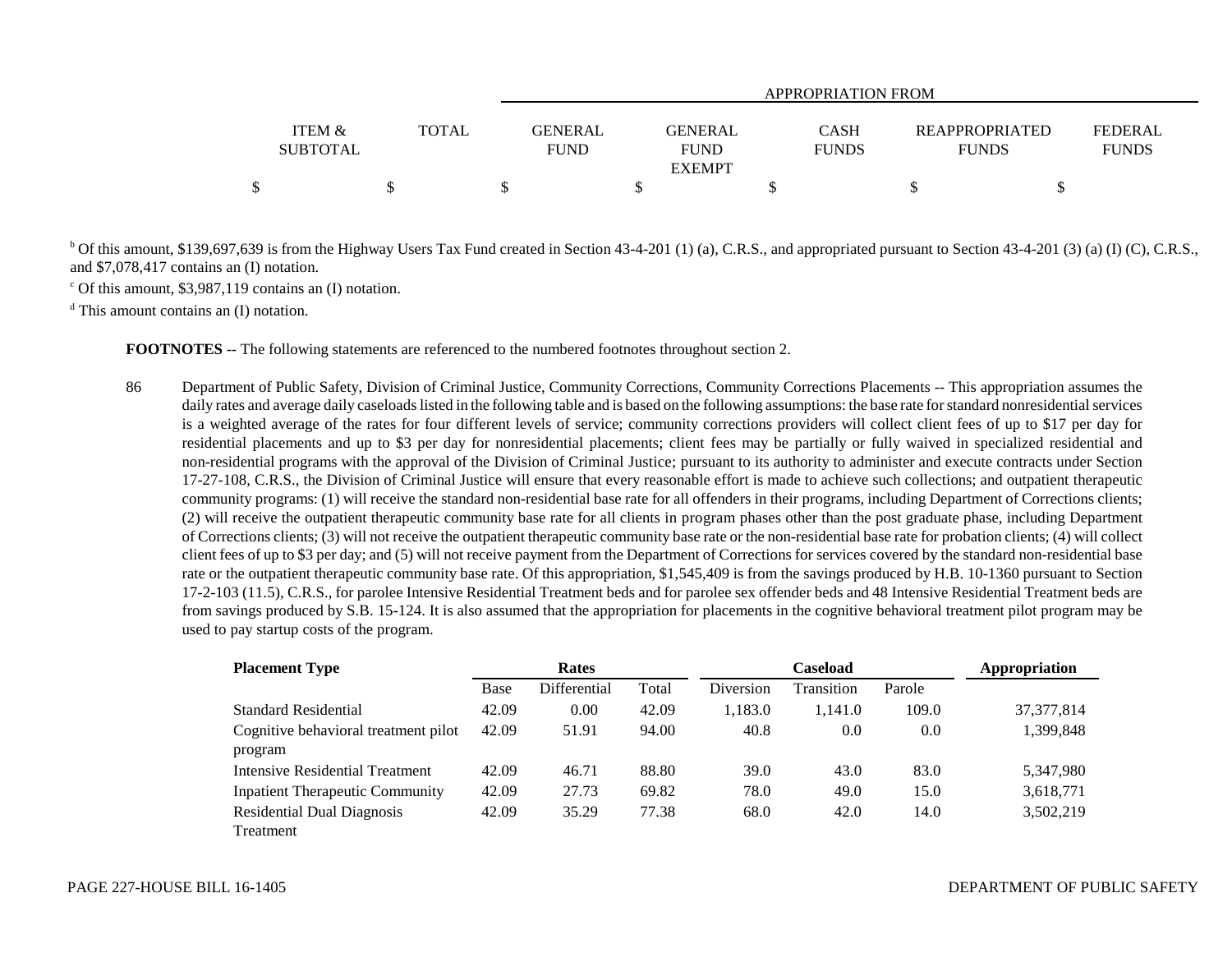|                   |       |             | APPROPRIATION FROM |              |                       |              |  |  |  |  |  |
|-------------------|-------|-------------|--------------------|--------------|-----------------------|--------------|--|--|--|--|--|
|                   |       |             |                    |              |                       |              |  |  |  |  |  |
| <b>ITEM &amp;</b> | TOTAL | GENERAL     | GENERAL            | <b>CASH</b>  | <b>REAPPROPRIATED</b> | FEDERAL      |  |  |  |  |  |
| <b>SUBTOTAL</b>   |       | <b>FUND</b> | <b>FUND</b>        | <b>FUNDS</b> | <b>FUNDS</b>          | <b>FUNDS</b> |  |  |  |  |  |
|                   |       |             | <b>EXEMPT</b>      |              |                       |              |  |  |  |  |  |
| ¢                 |       |             |                    |              |                       |              |  |  |  |  |  |

<sup>b</sup> Of this amount, \$139,697,639 is from the Highway Users Tax Fund created in Section 43-4-201 (1) (a), C.R.S., and appropriated pursuant to Section 43-4-201 (3) (a) (I) (C), C.R.S., and \$7,078,417 contains an (I) notation.

 $\degree$  Of this amount, \$3,987,119 contains an (I) notation.

d This amount contains an (I) notation.

**FOOTNOTES** -- The following statements are referenced to the numbered footnotes throughout section 2.

86 Department of Public Safety, Division of Criminal Justice, Community Corrections, Community Corrections Placements -- This appropriation assumes the daily rates and average daily caseloads listed in the following table and is based on the following assumptions: the base rate for standard nonresidential services is a weighted average of the rates for four different levels of service; community corrections providers will collect client fees of up to \$17 per day for residential placements and up to \$3 per day for nonresidential placements; client fees may be partially or fully waived in specialized residential and non-residential programs with the approval of the Division of Criminal Justice; pursuant to its authority to administer and execute contracts under Section 17-27-108, C.R.S., the Division of Criminal Justice will ensure that every reasonable effort is made to achieve such collections; and outpatient therapeutic community programs: (1) will receive the standard non-residential base rate for all offenders in their programs, including Department of Corrections clients; (2) will receive the outpatient therapeutic community base rate for all clients in program phases other than the post graduate phase, including Department of Corrections clients; (3) will not receive the outpatient therapeutic community base rate or the non-residential base rate for probation clients; (4) will collect client fees of up to \$3 per day; and (5) will not receive payment from the Department of Corrections for services covered by the standard non-residential base rate or the outpatient therapeutic community base rate. Of this appropriation, \$1,545,409 is from the savings produced by H.B. 10-1360 pursuant to Section 17-2-103 (11.5), C.R.S., for parolee Intensive Residential Treatment beds and for parolee sex offender beds and 48 Intensive Residential Treatment beds are from savings produced by S.B. 15-124. It is also assumed that the appropriation for placements in the cognitive behavioral treatment pilot program may be used to pay startup costs of the program.

| <b>Placement Type</b>                  | Rates |              |       |             | Appropriation |        |              |
|----------------------------------------|-------|--------------|-------|-------------|---------------|--------|--------------|
|                                        | Base  | Differential | Total | Diversion   | Transition    | Parole |              |
| <b>Standard Residential</b>            | 42.09 | 0.00         | 42.09 | 1.183.0     | 1.141.0       | 109.0  | 37, 377, 814 |
| Cognitive behavioral treatment pilot   | 42.09 | 51.91        | 94.00 | 40.8        | 0.0           | 0.0    | 1,399,848    |
| program                                |       |              |       |             |               |        |              |
| Intensive Residential Treatment        | 42.09 | 46.71        | 88.80 | <b>39.0</b> | 43.0          | 83.0   | 5,347,980    |
| <b>Inpatient Therapeutic Community</b> | 42.09 | 27.73        | 69.82 | 78.0        | 49.0          | 15.0   | 3,618,771    |
| <b>Residential Dual Diagnosis</b>      | 42.09 | 35.29        | 77.38 | 68.0        | 42.0          | 14.0   | 3,502,219    |
| Treatment                              |       |              |       |             |               |        |              |